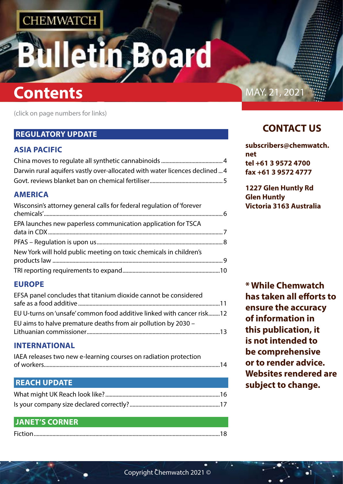# n Board

## **Contents** MAY. 21, 2021

(click on page numbers for links)

### **[REGULATORY UPDATE](#page-2-0)**

### **[ASIA PACIFIC](#page-2-0)**

| Darwin rural aquifers vastly over-allocated with water licences declined 4 |  |
|----------------------------------------------------------------------------|--|
|                                                                            |  |

### **[AMERICA](#page-3-0)**

| Wisconsin's attorney general calls for federal regulation of 'forever |  |
|-----------------------------------------------------------------------|--|
| EPA launches new paperless communication application for TSCA         |  |
|                                                                       |  |
| New York will hold public meeting on toxic chemicals in children's    |  |
|                                                                       |  |

### **[EUROPE](#page-5-0)**

| EFSA panel concludes that titanium dioxide cannot be considered       |  |
|-----------------------------------------------------------------------|--|
|                                                                       |  |
| EU U-turns on 'unsafe' common food additive linked with cancer risk12 |  |
| EU aims to halve premature deaths from air pollution by 2030 -        |  |
|                                                                       |  |

### **[INTERNATIONAL](#page-7-0)**

| IAEA releases two new e-learning courses on radiation protection |  |
|------------------------------------------------------------------|--|
|                                                                  |  |

### **[REACH UPDATE](#page-8-0)**

### **[JANET'S CORNER](#page-9-0)**

|--|

## **CONTACT US**

**[subscribers@chemwatch.](mailto:subscribers@chemwatch.net) [net](mailto:subscribers@chemwatch.net) tel +61 3 9572 4700 fax +61 3 9572 4777**

**1227 Glen Huntly Rd Glen Huntly Victoria 3163 Australia**

**\* While Chemwatch has taken all efforts to ensure the accuracy of information in this publication, it is not intended to be comprehensive or to render advice. Websites rendered are subject to change.**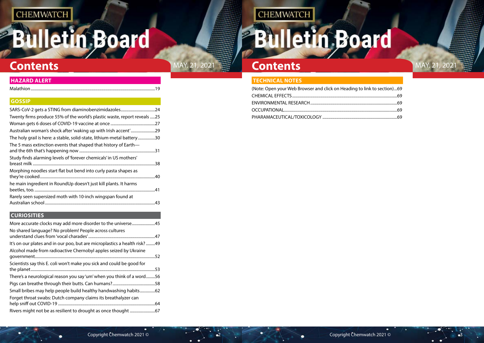# **Bulletin Board**

## **Contents** MAY. 21, 2021 **Contents** MAY. 21, 2021

| nk to section)69 |
|------------------|
| 69               |
|                  |
| 69               |
| 69               |



### **[TECHNICAL NOTES](#page-34-0)**

| (Note: Open your Web Browser and click on Heading to link to section)69 |  |
|-------------------------------------------------------------------------|--|
|                                                                         |  |
|                                                                         |  |
|                                                                         |  |
|                                                                         |  |

**[HAZARD ALERT](#page-9-0)** [Malathion...........................................................................................................................19](#page-9-0)

| . |  |  |  |  |  |  |  |  |  |  |
|---|--|--|--|--|--|--|--|--|--|--|
|   |  |  |  |  |  |  |  |  |  |  |
|   |  |  |  |  |  |  |  |  |  |  |

| <b>GOSSIP</b>                                                            |
|--------------------------------------------------------------------------|
|                                                                          |
| Twenty firms produce 55% of the world's plastic waste, report reveals 25 |
| .27                                                                      |
|                                                                          |
| The holy grail is here: a stable, solid-state, lithium-metal battery30   |
| The 5 mass extinction events that shaped that history of Earth-          |
| Study finds alarming levels of 'forever chemicals' in US mothers'<br>.38 |
| Morphing noodles start flat but bend into curly pasta shapes as<br>.40   |
| he main ingredient in RoundUp doesn't just kill plants. It harms<br>.41  |
| Rarely seen supersized moth with 10-inch wingspan found at<br>.43        |
|                                                                          |

### **[CURIOSITIES](#page-22-0)**

| More accurate clocks may add more disorder to the universe45               |     |
|----------------------------------------------------------------------------|-----|
| No shared language? No problem! People across cultures                     | 47  |
| It's on our plates and in our poo, but are microplastics a health risk? 49 |     |
| Alcohol made from radioactive Chernobyl apples seized by Ukraine           | .52 |
| Scientists say this E. coli won't make you sick and could be good for      | .53 |
| There's a neurological reason you say 'um' when you think of a word        | .56 |
|                                                                            |     |
|                                                                            |     |
| Forget throat swabs: Dutch company claims its breathalyzer can             | .64 |
|                                                                            | .67 |

## **CHEMWATCH Bulletin Board**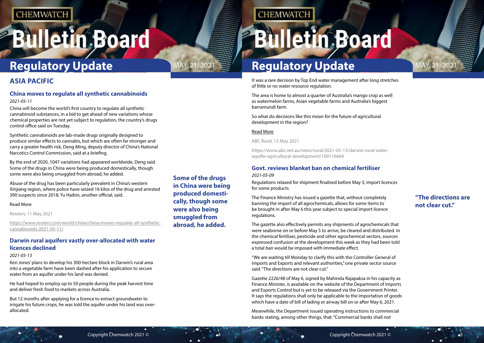# <span id="page-2-0"></span>**Bulletin Board**

### **"The directions are not clear cut."**

**Some of the drugs** 

**in China were being produced domesti-**

**cally, though some** 

**were also being smuggled from** 

**abroad, he added.**

It was a rare decision by Top End water management after long stretches of little or no water resource regulation.

The area is home to almost a quarter of Australia's mango crop as well as watermelon farms, Asian vegetable farms and Australia's biggest barramundi farm.

So what do decisions like this mean for the future of agricultural development in the region?

#### [Read More](https://www.abc.net.au/news/rural/2021-05-13/darwin-rural-water-aquifer-agricultural-development/100116664)

ABC Rural, 13 May 2021

https://www.abc.net.au/news/rural/2021-05-13/darwin-rural-wateraquifer-agricultural-development/100116664

### **Govt. reviews blanket ban on chemical fertiliser**

#### *2021-05-09*

Regulations relaxed for shipment finalised before May 5; import licences for some products

The Finance Ministry has issued a gazette that, without completely banning the import of all agrochemicals, allows for some items to be brought in after May 6 this year subject to special import licence regulations.

The gazette also effectively permits any shipments of agrochemicals that were seaborne on or before May 5 to arrive, be cleared and distributed. In the chemical fertiliser, pesticide and other agrochemical sectors, sources expressed confusion at the development this week as they had been told a total ban would be imposed with immediate effect.

"We are waiting till Monday to clarify this with the Controller General of Imports and Exports and relevant authorities," one private sector source said. "The directions are not clear cut."

Gazette 2226/48 of May 6, signed by Mahinda Rajapaksa in his capacity as Finance Minister, is available on the website of the Department of Imports and Exports Control but is yet to be released via the Government Printer. It says the regulations shall only be applicable to the importation of goods which have a date of bill of lading or airway bill on or after May 6, 2021.

Meanwhile, the Department issued operating instructions to commercial banks stating, among other things, that: "Commercial banks shall not



### **ASIA PACIFIC**

### **China moves to regulate all synthetic cannabinoids**

#### *2021-05-11*

China will become the world's first country to regulate all synthetic cannabinoid substances, in a bid to get ahead of new variations whose chemical properties are not yet subject to regulation, the country's drugs control office said on Tuesday.

Synthetic cannabinoids are lab-made drugs originally designed to produce similar effects to cannabis, but which are often far stronger and carry a greater health risk, Deng Ming, deputy director of China's National Narcotics Control Commission, said at a briefing.

By the end of 2020, 1047 variations had appeared worldwide, Deng said. Some of the drugs in China were being produced domestically, though some were also being smuggled from abroad, he added.

Abuse of the drug has been particularly prevalent in China's western Xinjiang region, where police have seized 16 kilos of the drug and arrested 390 suspects since 2018, Yu Haibin, another official, said.

#### Read More

Reuters, 11 May 2021

[https://www.reuters.com/world/china/china-moves-regulate-all-synthetic](https://www.reuters.com/world/china/china-moves-regulate-all-synthetic-cannabinoids-2021-05-11/)[cannabinoids-2021-05-11/](https://www.reuters.com/world/china/china-moves-regulate-all-synthetic-cannabinoids-2021-05-11/)

#### **Darwin rural aquifers vastly over-allocated with water licences declined**

#### *2021-05-13*

Ken Jones' plans to develop his 300-hectare block in Darwin's rural area into a vegetable farm have been dashed after his application to secure water from an aquifer under his land was denied.

He had hoped to employ up to 50 people during the peak harvest time and deliver fresh food to markets across Australia.

But 12 months after applying for a licence to extract groundwater to irrigate his future crops, he was told the aquifer under his land was overallocated.

## MAY. 21, 2021 **May. 8 20 Regulatory Update** MAY. 21, 2021

**CHEMWATCH** 

## **Regulatory Update**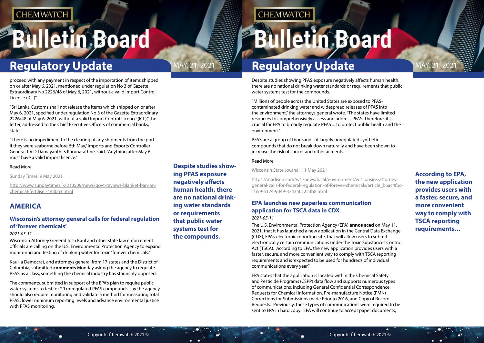# <span id="page-3-0"></span>**Bulletin Board**

**According to EPA, the new application provides users with a faster, secure, and more convenient way to comply with TSCA reporting requirements…**

**Despite studies showing PFAS exposure negatively affects human health, there are no national drinking water standards or requirements that public water systems test for the compounds.**

## **CHEMWATCH**

# **Bulletin Board**

## MAY. 21, 2021 **MAY. 21, 2021** MAY. 21, 202

## **Regulatory Update Regulatory Update**

Despite studies showing PFAS exposure negatively affects human health, there are no national drinking water standards or requirements that public water systems test for the compounds.

"Millions of people across the United States are exposed to PFAScontaminated drinking water and widespread releases of PFAS into the environment," the attorneys general wrote. "The states have limited resources to comprehensively assess and address PFAS. Therefore, it is crucial for EPA to broadly regulate PFAS ... to protect public health and the environment."

PFAS are a group of thousands of largely unregulated synthetic compounds that do not break down naturally and have been shown to increase the risk of cancer and other ailments.

#### [Read More](https://madison.com/wsj/news/local/environment/wisconsins-attorney-general-calls-for-federal-regulation-of-forever-chemicals/article_b6ac4fbc-1b59-5124-9049-374350c223b8.html)

Wisconsin State Journal, 11 May 2021

https://madison.com/wsj/news/local/environment/wisconsins-attorneygeneral-calls-for-federal-regulation-of-forever-chemicals/article\_b6ac4fbc-1b59-5124-9049-374350c223b8.html

### **EPA launches new paperless communication application for TSCA data in CDX**

#### *2021-05-11*

The U.S. Environmental Protection Agency (EPA) **[announced](https://www.epa.gov/chemicals-under-tsca/epa-launches-new-paperless-communication-application-tsca-data-central-data)** on May 11, 2021, that it has launched a new application in the Central Data Exchange (CDX), EPA's electronic reporting site, that will allow users to submit electronically certain communications under the Toxic Substances Control Act (TSCA). According to EPA, the new application provides users with a faster, secure, and more convenient way to comply with TSCA reporting requirements and is "expected to be used for hundreds of individual communications every year."

EPA states that the application is located within the Chemical Safety and Pesticide Programs (CSPP) data flow and supports numerous types of communications, including General Confidential Correspondence, Requests for Chemical Information, Pre-manufacture Notice (PMN) Corrections for Submissions made Prior to 2016, and Copy of Record Requests. Previously, these types of communications were required to be sent to EPA in hard copy. EPA will continue to accept paper documents,



proceed with any payment in respect of the importation of items shipped on or after May 6, 2021, mentioned under regulation No 3 of Gazette Extraordinary No 2226/48 of May 6, 2021, without a valid Import Control Licence (ICL)".

"Sri Lanka Customs shall not release the items which shipped on or after May 6, 2021, specified under regulation No 3 of the Gazette Extraordinary 2226/48 of May 6, 2021, without a valid Import Control Licence (ICL)," the letter, addressed to the Chief Executive Officers of commercial banks, states.

"There is no impediment to the clearing of any shipments from the port if they were seaborne before 6th May," Imports and Exports Controller General T V D Damayanthi S Karunarathne, said. "Anything after May 6 must have a valid import licence."

#### [Read More](http://www.sundaytimes.lk/210509/news/govt-reviews-blanket-ban-on-chemical-fertiliser-443063.html)

Sunday Times, 9 May 2021

[http://www.sundaytimes.lk/210509/news/govt-reviews-blanket-ban-on](http://www.sundaytimes.lk/210509/news/govt-reviews-blanket-ban-on-chemical-fertiliser-443063.html)[chemical-fertiliser-443063.html](http://www.sundaytimes.lk/210509/news/govt-reviews-blanket-ban-on-chemical-fertiliser-443063.html)

### **AMERICA**

### **Wisconsin's attorney general calls for federal regulation of 'forever chemicals'**

#### *2021-05-11*

Wisconsin Attorney General Josh Kaul and other state law enforcement officials are calling on the U.S. Environmental Protection Agency to expand monitoring and testing of drinking water for toxic "forever chemicals."

Kaul, a Democrat, and attorneys general from 17 states and the District of Columbia, submitted **[comments](https://www.doj.state.wi.us/sites/default/files/news-media/510.21_PFAS_Comments.pdf)** Monday asking the agency to regulate PFAS as a class, something the chemical industry has staunchly opposed.

The comments, submitted in support of the EPA's plan to require public water systems to test for 29 unregulated PFAS compounds, say the agency should also require monitoring and validate a method for measuring total PFAS, lower minimum reporting levels and advance environmental justice with PFAS monitoring.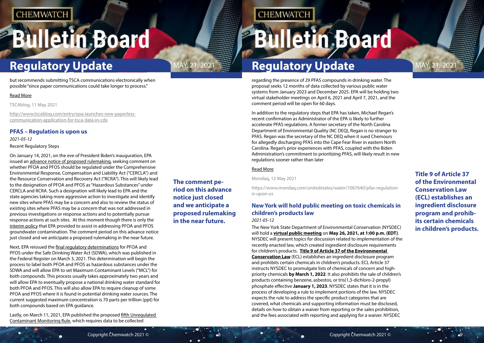# <span id="page-4-0"></span>**Bulletin Board**

**Title 9 of Article 37 of the Environmental Conservation Law (ECL) establishes an ingredient disclosure program and prohibits certain chemicals in children's products.**

**The comment period on this advance notice just closed and we anticipate a proposed rulemaking in the near future.**

## MAY. 21, 2021 **MAY. 21, 2021** Regulatory Update MAY. 21, 2021

**CHEMWATCH** 

## **Regulatory Update Regulatory Update**

regarding the presence of 29 PFAS compounds in drinking water. The proposal seeks 12 months of data collected by various public water systems from January 2023 and December 2025. EPA will be holding two virtual stakeholder meetings on April 6, 2021 and April 7, 2021, and the comment period will be open for 60 days.

In addition to the regulatory steps that EPA has taken, Michael Regan's recent confirmation as Administrator of the EPA is likely to further accelerate PFAS regulations. A former secretary of the North Carolina Department of Environmental Quality (NC DEQ), Regan is no stranger to PFAS. Regan was the secretary of the NC DEQ when it sued Chemours for allegedly discharging PFAS into the Cape Fear River in eastern North Carolina. Regan's prior experiences with PFAS, coupled with the Biden Administration's commitment to prioritizing PFAS, will likely result in new regulations sooner rather than later

#### [Read More](https://www.mondaq.com/unitedstates/water/1067640/pfas-regulation-is-upon-us)

Mondaq, 12 May 2021

https://www.mondaq.com/unitedstates/water/1067640/pfas-regulationis-upon-us

### **New York will hold public meeting on toxic chemicals in children's products law**

### *2021-05-12*

The New York State Department of Environmental Conservation (NYSDEC) will hold a **[virtual public meeting](https://www.dec.ny.gov/chemical/122890.html)** on **May 26, 2021, at 1:00 p.m. (EDT)**. NYSDEC will present topics for discussion related to implementation of the recently enacted law, which created ingredient disclosure requirements for children's products. **[Title 9 of Article 37 of the Environmental](https://www.nysenate.gov/legislation/laws/ENV/A37T9)  [Conservation Law](https://www.nysenate.gov/legislation/laws/ENV/A37T9)** (ECL) establishes an ingredient disclosure program and prohibits certain chemicals in children's products. ECL Article 37 instructs NYSDEC to promulgate lists of chemicals of concern and highpriority chemicals **by March 1, 2022**. It also prohibits the sale of children's products containing benzene, asbestos, or tris(1,3-dichloro-2-propyl) phosphate effective **January 1, 2023**. NYSDEC states that it is in the process of developing a rule to implement portions of the law. NYSDEC expects the rule to address the specific product categories that are covered, what chemicals and supporting information must be disclosed, details on how to obtain a waiver from reporting or the sales prohibition, and the fees associated with reporting and applying for a waiver. NYSDEC



but recommends submitting TSCA communications electronically when possible "since paper communications could take longer to process."

#### [Read More](http://www.tscablog.com/entry/epa-launches-new-paperless-communication-application-for-tsca-data-in-cdx)

TSCAblog, 11 May 2021

[http://www.tscablog.com/entry/epa-launches-new-paperless](http://www.tscablog.com/entry/epa-launches-new-paperless-communication-application-for-tsca-data-in-cdx)[communication-application-for-tsca-data-in-cdx](http://www.tscablog.com/entry/epa-launches-new-paperless-communication-application-for-tsca-data-in-cdx)

#### **PFAS – Regulation is upon us**

*2021-05-12*

Recent Regulatory Steps

On January 14, 2021, on the eve of President Biden's inauguration, EPA issued an [advance notice of proposed rulemaking](https://www.epa.gov/sites/production/files/2021-01/documents/frl-10019-13-olem_addressing_pfoa_pfos_anprm_20210113_admin-508.pdf), seeking comment on whether PFOA and PFOS should be regulated under the Comprehensive Environmental Response, Compensation and Liability Act ("CERCLA") and the Resource Conservation and Recovery Act ("RCRA"). This will likely lead to the designation of PFOA and PFOS as "Hazardous Substances" under CERCLA and RCRA. Such a designation will likely lead to EPA and the state agencies taking more aggressive action to investigate and identify new sites where PFAS may be a concern and also to review the status of existing sites where PFAS may be a concern that was not addressed in previous investigations or response actions and to potentially pursue response actions at such sites. At this moment though there is only the [interim policy](https://www.epa.gov/sites/production/files/2019-12/documents/epas_interim_recomendations_for_addressing_groundwater_contaminated_with_pfoa_and_pfos_dec_2019.pdf) that EPA provided to assist in addressing PFOA and PFOS groundwater contamination. The comment period on this advance notice just closed and we anticipate a proposed rulemaking in the near future.

Next, EPA reissued the [final regulatory determinations](https://www.federalregister.gov/documents/2021/03/03/2021-04184/announcement-of-final-regulatory-determinations-for-contaminants-on-the-fourth-drinking-water) for PFOA and PFOS under the Safe Drinking Water Act (SDWA), which was published in the Federal Register on March 3, 2021. This determination will begin the process to label both PFOA and PFOS as hazardous substances under the SDWA and will allow EPA to set Maximum Contaminant Levels ("MCL") for both compounds. This process usually takes approximately two years and will allow EPA to eventually propose a national drinking water standard for both PFOA and PFOS. This will also allow EPA to require cleanup of some PFOA and PFOS where it is found in potential drinking water sources. The current suggested maximum concentration is 70 parts per trillion (ppt) for both compounds based on EPA guidance.

Lastly, on March 11, 2021, EPA published the proposed fifth Unregulated Contaminant Monitoring Rule, which requires data to be collected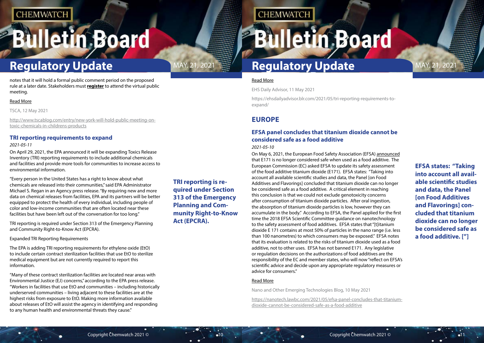# <span id="page-5-0"></span>**Bulletin Board**



**EFSA states: "Taking into account all available scientific studies and data, the Panel [on Food Additives and Flavorings] concluded that titanium dioxide can no longer be considered safe as a food additive. ["]**

**TRI reporting is required under Section 313 of the Emergency Planning and Community Right-to-Know Act (EPCRA).**

# **Bulletin Board**

## **Regulatory Update Regulatory Update**

[Read More](https://ehsdailyadvisor.blr.com/2021/05/tri-reporting-requirements-to-expand/)

EHS Daily Advisor, 11 May 2021

**CHEMWATCH** 

https://ehsdailyadvisor.blr.com/2021/05/tri-reporting-requirements-toexpand/

### **EUROPE**

### **EFSA panel concludes that titanium dioxide cannot be considered safe as a food additive**

*2021-05-10*

On May 6, 2021, the European Food Safety Association (EFSA) [announced](https://www.efsa.europa.eu/en/news/titanium-dioxide-e171-no-longer-considered-safe-when-used-food-additive) that E171 is no longer considered safe when used as a food additive. The European Commission (EC) asked EFSA to update its safety assessment of the food additive titanium dioxide (E171). EFSA states: "Taking into account all available scientific studies and data, the Panel [on Food Additives and Flavorings] concluded that titanium dioxide can no longer be considered safe as a food additive. A critical element in reaching this conclusion is that we could not exclude genotoxicity concerns after consumption of titanium dioxide particles. After oral ingestion, the absorption of titanium dioxide particles is low, however they can accumulate in the body." According to EFSA, the Panel applied for the first time the 2018 EFSA Scientific Committee guidance on nanotechnology to the safety assessment of food additives. EFSA states that "[t]itanium dioxide E 171 contains at most 50% of particles in the nano range (i.e. less than 100 nanometres) to which consumers may be exposed." EFSA notes that its evaluation is related to the risks of titanium dioxide used as a food additive, not to other uses. EFSA has not banned E171. Any legislative or regulation decisions on the authorizations of food additives are the responsibility of the EC and member states, who will now "reflect on EFSA's scientific advice and decide upon any appropriate regulatory measures or advice for consumers."

#### [Read More](https://nanotech.lawbc.com/2021/05/efsa-panel-concludes-that-titanium-dioxide-cannot-be-considered-safe-as-a-food-additive)

Nano and Other Emerging Technologies Blog, 10 May 2021

[https://nanotech.lawbc.com/2021/05/efsa-panel-concludes-that-titanium](https://nanotech.lawbc.com/2021/05/efsa-panel-concludes-that-titanium-dioxide-cannot-be-considered-safe-as-a-food-additive)[dioxide-cannot-be-considered-safe-as-a-food-additive](https://nanotech.lawbc.com/2021/05/efsa-panel-concludes-that-titanium-dioxide-cannot-be-considered-safe-as-a-food-additive)

notes that it will hold a formal public comment period on the proposed rule at a later date. Stakeholders must **[register](https://meetny.webex.com/mw3300/mywebex/default.do?nomenu=true&siteurl=meetny&service=6&rnd=0.23189631088261364&main_url=https%3A%2F%2Fmeetny.webex.com%2Fec3300%2Feventcenter%2Fevent%2FeventAction.do%3FtheAction%3Ddetail%26%26%26EMK%3D4832534b00000004bcfb1609f72883b1baaa45f7273b4a84504a64c47a284a33ad7a5cfcaaed296a%26siteurl%3Dmeetny%26confViewID%3D192839494397865119%26encryptTicket%3DSDJTSwAAAASJ191nyC7QB-ITkmqwxAY9QJ_U0C8LBNy-gphIWvDf0Q2%26)** to attend the virtual public meeting.

#### [Read More](http://www.tscablog.com/entry/new-york-will-hold-public-meeting-on-toxic-chemicals-in-childrens-products)

TSCA, 12 May 2021

[http://www.tscablog.com/entry/new-york-will-hold-public-meeting-on](http://www.tscablog.com/entry/new-york-will-hold-public-meeting-on-toxic-chemicals-in-childrens-products)[toxic-chemicals-in-childrens-products](http://www.tscablog.com/entry/new-york-will-hold-public-meeting-on-toxic-chemicals-in-childrens-products)

#### **TRI reporting requirements to expand**

*2021-05-11*

On April 29, 2021, the EPA announced it will be expanding Toxics Release Inventory (TRI) reporting requirements to include additional chemicals and facilities and provide more tools for communities to increase access to environmental information.

"Every person in the United States has a right to know about what chemicals are released into their communities," said EPA Administrator Michael S. Regan in an Agency [press release](https://www.epa.gov/newsreleases/epa-announces-plan-update-toxics-release-inventory-advance-environmental-justice). "By requiring new and more data on chemical releases from facilities, EPA and its partners will be better equipped to protect the health of every individual, including people of color and low-income communities that are often located near these facilities but have been left out of the conversation for too long."

TRI reporting is required under Section 313 of the Emergency Planning and Community Right-to-Know Act (EPCRA).

Expanded TRI Reporting Requirements

The EPA is adding TRI reporting requirements for ethylene oxide (EtO) to include certain contract sterilization facilities that use EtO to sterilize medical equipment but are not currently required to report this information.

"Many of these contract sterilization facilities are located near areas with Environmental Justice (EJ) concerns," according to the EPA press release. "Workers in facilities that use EtO and communities – including historically underserved communities – living adjacent to these facilities are at the highest risks from exposure to EtO. Making more information available about releases of EtO will assist the agency in identifying and responding to any human health and environmental threats they cause."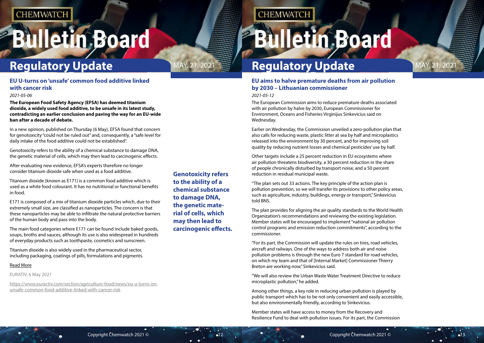# <span id="page-6-0"></span>**Bulletin Board**



**Genotoxicity refers to the ability of a chemical substance to damage DNA, the genetic material of cells, which may then lead to carcinogenic effects.**

## **CHEMWATCH**

# **Bulletin Board**

## **Regulatory Update Regulatory Update**

### **EU aims to halve premature deaths from air pollution by 2030 – Lithuanian commissioner**

#### *2021-05-12*

The European Commission aims to reduce premature deaths associated with air pollution by halve by 2030, European Commissioner for Environment, Oceans and Fisheries Virginijus Sinkevicius said on Wednesday.

Earlier on Wednesday, the Commission unveiled a zero-pollution plan that also calls for reducing waste, plastic litter at sea by half and microplastics released into the environment by 30 percent, and for improving soil quality by reducing nutrient losses and chemical pesticides' use by half.

Other targets include a 25 percent reduction in EU ecosystems where air pollution threatens biodiversity, a 30 percent reduction in the share of people chronically disturbed by transport noise, and a 50 percent reduction in residual municipal waste.

"The plan sets out 33 actions. The key principle of the action plan is pollution prevention, so we will transfer its provisions to other policy areas, such as agriculture, industry, buildings, energy or transport," Sinkevicius told BNS.

The plan provides for aligning the air quality standards to the World Health Organization's recommendations and reviewing the existing legislation. Member states will be encouraged to implement "national air pollution control programs and emission reduction commitments", according to the commissioner.

"For its part, the Commission will update the rules on tires, road vehicles, aircraft and railways. One of the ways to address both air and noise pollution problems is through the new Euro 7 standard for road vehicles, on which my team and that of [Internal Market] Commissioner Thierry Breton are working now," Sinkevicius said.

"We will also review the Urban Waste Water Treatment Directive to reduce microplastic pollution," he added.

Among other things, a key role in reducing urban pollution is played by public transport which has to be not only convenient and easily accessible, but also environmentally friendly, according to Sinkevicius.

Member states will have access to money from the Recovery and Resilience Fund to deal with pollution issues. For its part, the Commission

### **EU U-turns on 'unsafe' common food additive linked with cancer risk**

#### *2021-05-06*

**The European Food Safety Agency (EFSA) has deemed titanium dioxide, a widely used food additive, to be unsafe in its latest study, contradicting an earlier conclusion and paving the way for an EU-wide ban after a decade of debate.**

In a new opinion, published on Thursday (6 May), EFSA found that concern for genotoxicity "could not be ruled out" and, consequently, a "safe level for daily intake of the food additive could not be established".

Genotoxicity refers to the ability of a chemical substance to damage DNA, the genetic material of cells, which may then lead to carcinogenic effects.

After evaluating new evidence, EFSA's experts therefore no longer consider titanium dioxide safe when used as a food additive.

Titanium dioxide (known as E171) is a common food additive which is used as a white food colourant. It has no nutritional or functional benefits in food.

E171 is composed of a mix of titanium dioxide particles which, due to their extremely small size, are classified as nanoparticles. The concern is that these nanoparticles may be able to infiltrate the natural protective barriers of the human body and pass into the body.

The main food categories where E171 can be found include baked goods, soups, broths and sauces, although its use is also widespread in hundreds of everyday products such as toothpaste, cosmetics and sunscreen.

Titanium dioxide is also widely used in the pharmaceutical sector, including packaging, coatings of pills, formulations and pigments.

#### [Read More](https://www.euractiv.com/section/agriculture-food/news/eu-u-turns-on-unsafe-common-food-additive-linked-with-cancer-risk)

EURATIV, 6 May 2021

[https://www.euractiv.com/section/agriculture-food/news/eu-u-turns-on](https://www.euractiv.com/section/agriculture-food/news/eu-u-turns-on-unsafe-common-food-additive-linked-with-cancer-risk)[unsafe-common-food-additive-linked-with-cancer-risk](https://www.euractiv.com/section/agriculture-food/news/eu-u-turns-on-unsafe-common-food-additive-linked-with-cancer-risk)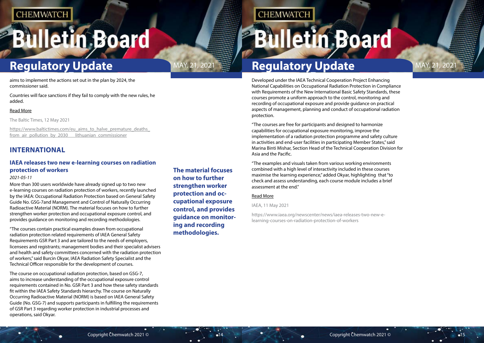# <span id="page-7-0"></span>**Bulletin Board**

**The material focuses on how to further strengthen worker protection and occupational exposure control, and provides guidance on monitoring and recording methodologies.**

## **CHEMWATCH**

# **Bulletin Board**

## MAY. 21, 2021  $\frac{1}{2}$  Regulatory Update MAY. 21, 2021

## **Regulatory Update Regulatory Update**

Developed under the IAEA Technical Cooperation Project [Enhancing](https://www.iaea.org/projects/tc/ras9080)  [National Capabilities on Occupational Radiation Protection in Compliance](https://www.iaea.org/projects/tc/ras9080)  [with Requirements of the New International Basic Safety Standards,](https://www.iaea.org/projects/tc/ras9080) these courses promote a uniform approach to the control, monitoring and recording of occupational exposure and provide guidance on practical aspects of management, planning and conduct of occupational radiation protection.

"The courses are free for participants and designed to harmonize capabilities for occupational exposure monitoring, improve the implementation of a radiation protection programme and safety culture in activities and end-user facilities in participating Member States," said Marina Binti Mishar, Section Head of the Technical Cooperation Division for Asia and the Pacific.

"The examples and visuals taken from various working environments combined with a high level of interactivity included in these courses maximise the learning experience," added Okyar, highlighting that "to check and assess understanding, each course module includes a brief assessment at the end."

#### [Read More](https://www.iaea.org/newscenter/news/iaea-releases-two-new-e-learning-courses-on-radiation-protection-of-workers)

IAEA, 11 May 2021

https://www.iaea.org/newscenter/news/iaea-releases-two-new-elearning-courses-on-radiation-protection-of-workers





aims to implement the actions set out in the plan by 2024, the commissioner said.

Countries will face sanctions if they fail to comply with the new rules, he added.

#### [Read More](https://www.baltictimes.com/eu_aims_to_halve_premature_deaths_from_air_pollution_by_2030___lithuanian_commissioner)

The Baltic Times, 12 May 2021

https://www.baltictimes.com/eu\_aims\_to\_halve\_premature\_deaths from air pollution by 2030 lithuanian commissioner

### **INTERNATIONAL**

### **IAEA releases two new e-learning courses on radiation protection of workers**

#### *2021-05-11*

More than 300 users worldwide have already signed up to two new e-learning courses on radiation protection of workers, recently launched by the IAEA: [Occupational Radiation Protection based on General Safety](https://elearning.iaea.org/m2/course/index.php?categoryid=109)  [Guide No. GSG-7a](https://elearning.iaea.org/m2/course/index.php?categoryid=109)nd [Management and Control of Naturally Occurring](https://elearning.iaea.org/m2/course/index.php?categoryid=109)  [Radioactive Material \(NORM\)](https://elearning.iaea.org/m2/course/index.php?categoryid=109). The material focuses on how to further strengthen worker protection and occupational exposure control, and provides guidance on monitoring and recording methodologies.

"The courses contain practical examples drawn from occupational radiation protection related requirements of IAEA General Safety Requirements [GSR Part 3](https://www.iaea.org/publications/8930/radiation-protection-and-safety-of-radiation-sources-international-basic-safety-standards) and are tailored to the needs of employers, licensees and registrants; management bodies and their specialist advisers and health and safety committees concerned with the radiation protection of workers," said Burcin Okyar, IAEA Radiation Safety Specialist and the Technical Officer responsible for the development of courses.

The course on occupational radiation protection, based on GSG-7, aims to increase understanding of the occupational exposure control requirements contained in [No. GSR Part 3](https://www.iaea.org/publications/8930/radiation-protection-and-safety-of-radiation-sources-international-basic-safety-standards) and how these safety standards fit within the [IAEA Safety Standards](https://www.iaea.org/resources/safety-standards) hierarchy. The course on Naturally Occurring Radioactive Material (NORM) is based on [IAEA General Safety](https://www.iaea.org/publications/11113/occupational-radiation-protection)  [Guide \(No. GSG-7\)](https://www.iaea.org/publications/11113/occupational-radiation-protection) and supports participants in fulfilling the requirements of GSR Part 3 regarding worker protection in industrial processes and operations, said Okyar.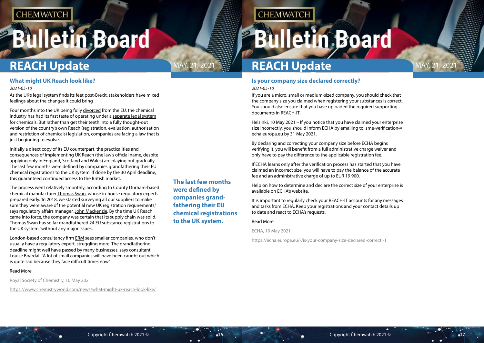# <span id="page-8-0"></span>**Bulletin Board**





**The last few months were defined by companies grandfathering their EU chemical registrations to the UK system.**

**CHEMWATCH** 

## **Is your company size declared correctly?**

*2021-05-10*

If you are a micro, small or medium-sized company, you should check that the company size you claimed when registering your substances is correct. You should also ensure that you have uploaded the required supporting documents in REACH-IT.

Helsinki, 10 May 2021 – If you notice that you have claimed your enterprise size incorrectly, you should inform ECHA by emailing to: sme-verification@ echa.europa.eu by 31 May 2021.

By declaring and correcting your company size before ECHA begins verifying it, you will benefit from a full administrative charge waiver and only have to pay the difference to the applicable registration fee.

If ECHA learns only after the verification process has started that you have claimed an incorrect size, you will have to pay the balance of the accurate fee and an administrative charge of up to EUR 19 900.

Help on how to determine and declare the correct size of your enterprise is available on ECHA's website.

It is important to regularly check your REACH-IT accounts for any messages and tasks from ECHA. Keep your registrations and your contact details up to date and react to ECHA's requests.

#### [Read More](https://echa.europa.eu/-/is-your-company-size-declared-correctl-1)

ECHA, 10 May 2021

https://echa.europa.eu/-/is-your-company-size-declared-correctl-1

### **What might UK Reach look like?**

*2021-05-10*

As the UK's legal system finds its feet post-Brexit, stakeholders have mixed feelings about the changes it could bring

Four months into the UK being fully [divorced](https://www.chemistryworld.com/news/industry-expects-problems-ahead-after-initial-relief-over-brexit-deal/4013043.article) from the EU, the chemical industry has had its first taste of operating under a [separate legal system](https://www.chemistryworld.com/news/brexit-may-put-some-chemicals-out-of-gbs-reach/4012791.article) for chemicals. But rather than get their teeth into a fully thought-out version of the country's own Reach (registration, evaluation, authorisation and restriction of chemicals) legislation, companies are facing a law that is just beginning to evolve.

Initially a direct copy of its EU counterpart, the practicalities and consequences of implementing UK Reach (the law's official name, despite applying only in England, Scotland and Wales) are playing out gradually. The last few months were defined by companies grandfathering their EU chemical registrations to the UK system. If done by the 30 April deadline, this guaranteed continued access to the British market.

The process went relatively smoothly, according to County Durham-based chemical manufacturer [Thomas Swan,](https://thomas-swan.co.uk/) whose in-house regulatory experts prepared early. 'In 2018, we started surveying all our suppliers to make sure they were aware of the potential new UK registration requirements,' says regulatory affairs manager, [John Mackenzie.](https://uk.linkedin.com/in/john-mackenzie-00018751) By the time UK Reach came into force, the company was certain that its supply chain was solid. Thomas Swan has so far grandfathered 24 EU substance registrations to the UK system, 'without any major issues'.

London-based consultancy firm [ERM](https://www.erm.com/) sees smaller companies, who don't usually have a regulatory expert, struggling more. The grandfathering deadline might well have passed by many businesses, says consultant Louise Boardall: 'A lot of small companies will have been caught out which is quite sad because they face difficult times now.'

#### [Read More](https://www.chemistryworld.com/news/what-might-uk-reach-look-like/4013650.article?ck_subscriber_id=1169090193)

Royal Society of Chemistry, 10 May 2021

<https://www.chemistryworld.com/news/what-might-uk-reach-look-like/>

## **REACH Update**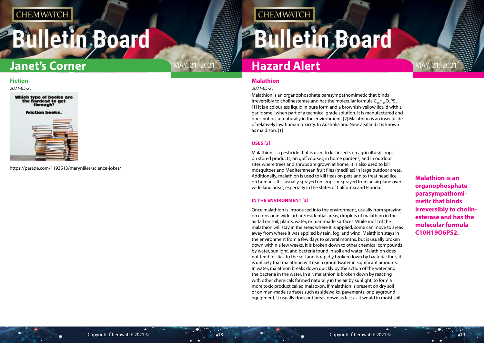# <span id="page-9-0"></span>**Bulletin Board**



## May. 21, 2021

## **CHEMWATCH**

# **Illetin Board**

**Malathion is an organophosphate parasympathomimetic that binds irreversibly to cholinesterase and has the molecular formula C10H19O6PS2.**

### **Malathion**

*2021-05-21*

Malathion is an organophosphate parasympathomimetic that binds irreversibly to cholinesterase and has the molecular formula  ${\sf C}_{_{10}}{\sf H}_{_{19}}{\sf O}_{_{6}}{\sf PS}_{_{21}}$ [1] It is a colourless liquid in pure form and a brownish-yellow liquid with a garlic smell when part of a technical grade solution. It is manufactured and does not occur naturally in the environment. [2] Malathion is an insecticide of relatively low human toxicity. In Australia and New Zealand it is known as maldison. [1]

#### **USES [3]**

Malathion is a pesticide that is used to kill insects on agricultural crops, on stored products, on golf courses, in home gardens, and in outdoor sites where trees and shrubs are grown at home; it is also used to kill mosquitoes and Mediterranean fruit flies (medflies) in large outdoor areas. Additionally, malathion is used to kill fleas on pets and to treat head lice on humans. It is usually sprayed on crops or sprayed from an airplane over wide land areas, especially in the states of California and Florida.

#### **IN THE ENVIRONMENT [3]**

Once malathion is introduced into the environment, usually from spraying on crops or in wide urban/residential areas, droplets of malathion in the air fall on soil, plants, water, or man-made surfaces. While most of the malathion will stay in the areas where it is applied, some can move to areas away from where it was applied by rain, fog, and wind. Malathion stays in the environment from a few days to several months, but is usually broken down within a few weeks. It is broken down to other chemical compounds by water, sunlight, and bacteria found in soil and water. Malathion does not tend to stick to the soil and is rapidly broken down by bacteria; thus, it is unlikely that malathion will reach groundwater in significant amounts. In water, malathion breaks down quickly by the action of the water and the bacteria in the water. In air, malathion is broken down by reacting with other chemicals formed naturally in the air by sunlight, to form a more toxic product called malaoxon. If malathion is present on dry soil or on man-made surfaces such as sidewalks, pavements, or playground equipment, it usually does not break down as fast as it would in moist soil.

## **Hazard Alert**

**Fiction**

*2021-05-21*

Which type of books are<br>the hardest to get<br>through?

**Friction books.** 



https://parade.com/1193513/marynliles/science-jokes/

## **Janet's Corner**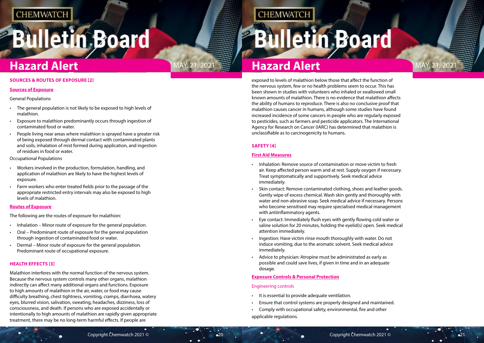# **Bulletin Board**

exposed to levels of malathion below those that affect the function of the nervous system, few or no health problems seem to occur. This has been shown in studies with volunteers who inhaled or swallowed small known amounts of malathion. There is no evidence that malathion affects the ability of humans to reproduce. There is also no conclusive proof that malathion causes cancer in humans, although some studies have found increased incidence of some cancers in people who are regularly exposed to pesticides, such as farmers and pesticide applicators. The International Agency for Research on Cancer (IARC) has determined that malathion is unclassifiable as to carcinogenicity to humans.

#### **SAFETY [4]**

#### **First Aid Measures**

- Inhalation: Remove source of contamination or move victim to fresh air. Keep affected person warm and at rest. Supply oxygen if necessary. Treat symptomatically and supportively. Seek medical advice immediately.
- Skin contact: Remove contaminated clothing, shoes and leather goods. Gently wipe of excess chemical. Wash skin gently and thoroughly with water and non-abrasive soap. Seek medical advice if necessary. Persons who become sensitised may require specialised medical management with antiinflammatory agents.
- Eye contact: Immediately flush eyes with gently flowing cold water or saline solution for 20 minutes, holding the eyelid(s) open. Seek medical attention immediately.
- Ingestion: Have victim rinse mouth thoroughly with water. Do not induce vomiting, due to the aromatic solvent. Seek medical advice immediately.
- Advice to physician: Atropine must be administrated as early as possible and could save lives, if given in time and in an adequate dosage.

#### **Exposure Controls & Personal Protection**

#### Engineering controls

- It is essential to provide adequate ventilation.
- Ensure that control systems are properly designed and maintained.
- Comply with occupational safety, environmental, fire and other applicable regulations.

# **Illetin Board**

#### **SOURCES & ROUTES OF EXPOSURE [2]**

#### **Sources of Exposure**

#### General Populations

- The general population is not likely to be exposed to high levels of malathion.
- Exposure to malathion predominantly occurs through ingestion of contaminated food or water.
- People living near areas where malathion is sprayed have a greater risk of being exposed through dermal contact with contaminated plants and soils, inhalation of mist formed during application, and ingestion of residues in food or water.

#### Occupational Populations

- Workers involved in the production, formulation, handling, and application of malathion are likely to have the highest levels of exposure.
- Farm workers who enter treated fields prior to the passage of the appropriate restricted entry intervals may also be exposed to high levels of malathion.

#### **Routes of Exposure**

The following are the routes of exposure for malathion:

- Inhalation Minor route of exposure for the general population.
- Oral Predominant route of exposure for the general population through ingestion of contaminated food or water.
- Dermal Minor route of exposure for the general population. Predominant route of occupational exposure.

#### **HEALTH EFFECTS [3]**

Malathion interferes with the normal function of the nervous system. Because the nervous system controls many other organs, malathion indirectly can affect many additional organs and functions. Exposure to high amounts of malathion in the air, water, or food may cause difficulty breathing, chest tightness, vomiting, cramps, diarrhoea, watery eyes, blurred vision, salivation, sweating, headaches, dizziness, loss of consciousness, and death. If persons who are exposed accidentally or intentionally to high amounts of malathion are rapidly given appropriate treatment, there may be no long-term harmful effects. If people are

## **Hazard Alert MAY. 21, 2021 <b>Hazard Alert** MAY. 21, 2021

**CHEMWATCH**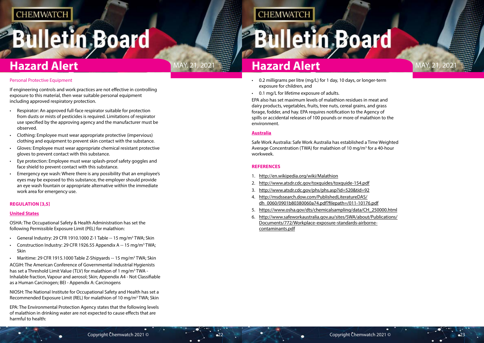# **Bulletin Board**





- 0.2 milligrams per litre (mg/L) for 1 day, 10 days, or longer-term exposure for children, and
- 0.1 mg/L for lifetime exposure of adults.

EPA also has set maximum levels of malathion residues in meat and dairy products, vegetables, fruits, tree nuts, cereal grains, and grass forage, fodder, and hay. EPA requires notification to the Agency of spills or accidental releases of 100 pounds or more of malathion to the environment.

#### **Australia**

Safe Work Australia: Safe Work Australia has established a Time Weighted Average Concentration (TWA) for malathion of 10 mg/m<sup>3</sup> for a 40-hour workweek.

#### **REFERENCES**

- 1. <http://en.wikipedia.org/wiki/Malathion>
- 2. <http://www.atsdr.cdc.gov/toxguides/toxguide-154.pdf>
- 3. <http://www.atsdr.cdc.gov/phs/phs.asp?id=520&tid=92>
- 4. [http://msdssearch.dow.com/PublishedLiteratureDAS/](http://msdssearch.dow.com/PublishedLiteratureDAS/dh_0060/0901b80380060a74.pdf?filepath=/011-10176.pdf) [dh\\_0060/0901b80380060a74.pdf?filepath=/011-10176.pdf](http://msdssearch.dow.com/PublishedLiteratureDAS/dh_0060/0901b80380060a74.pdf?filepath=/011-10176.pdf)
- 5. [https://www.osha.gov/dts/chemicalsampling/data/CH\\_250000.html](https://www.osha.gov/dts/chemicalsampling/data/CH_250000.html)
- 6. [http://www.safeworkaustralia.gov.au/sites/SWA/about/Publications/](http://www.safeworkaustralia.gov.au/sites/SWA/about/Publications/Documents/772/Workplace-exposure-standards-airborne-contaminants.pdf) [Documents/772/Workplace-exposure-standards-airborne](http://www.safeworkaustralia.gov.au/sites/SWA/about/Publications/Documents/772/Workplace-exposure-standards-airborne-contaminants.pdf)[contaminants.pdf](http://www.safeworkaustralia.gov.au/sites/SWA/about/Publications/Documents/772/Workplace-exposure-standards-airborne-contaminants.pdf)

#### Personal Protective Equipment

If engineering controls and work practices are not effective in controlling exposure to this material, then wear suitable personal equipment including approved respiratory protection.

NIOSH: The National Institute for Occupational Safety and Health has set a Recommended Exposure Limit (REL) for malathion of 10 mg/m<sup>3</sup> TWA; Skin

- Respirator: An approved full-face respirator suitable for protection from dusts or mists of pesticides is required. Limitations of respirator use specified by the approving agency and the manufacturer must be observed.
- Clothing: Employee must wear appropriate protective (impervious) clothing and equipment to prevent skin contact with the substance.
- Gloves: Employee must wear appropriate chemical resistant protective gloves to prevent contact with this substance.
- Eye protection: Employee must wear splash-proof safety goggles and face shield to prevent contact with this substance.
- Emergency eye wash: Where there is any possibility that an employee's eyes may be exposed to this substance, the employer should provide an eye wash fountain or appropriate alternative within the immediate work area for emergency use.

#### **REGULATION [3,5]**

#### **United States**

OSHA: The Occupational Safety & Health Administration has set the following Permissible Exposure Limit (PEL) for malathion:

- General Industry: 29 CFR 1910.1000 Z-1 Table -- 15 mg/m<sup>3</sup> TWA; Skin
- Construction Industry: 29 CFR 1926.55 Appendix A  $-$  15 mg/m<sup>3</sup> TWA; Skin
- Maritime: 29 CFR 1915.1000 Table Z-Shipyards -- 15 mg/m<sup>3</sup> TWA; Skin

ACGIH: The American Conference of Governmental Industrial Hygienists has set a Threshold Limit Value (TLV) for malathion of 1 mg/m<sup>3</sup> TWA -Inhalable fraction, Vapour and aerosol; Skin; Appendix A4 - Not Classifiable as a Human Carcinogen; BEI - Appendix A: Carcinogens

EPA: The Environmental Protection Agency states that the following levels of malathion in drinking water are not expected to cause effects that are harmful to health:

**CHEMWATCH**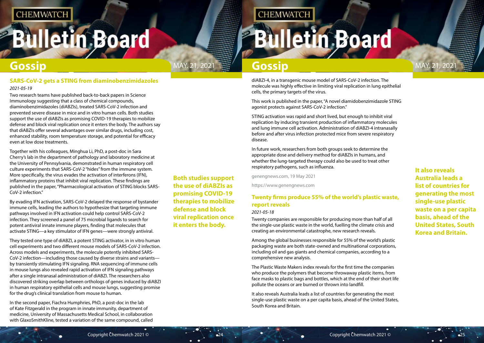# <span id="page-12-0"></span>**Bulletin Board**

**It also reveals Australia leads a list of countries for generating the most single-use plastic waste on a per capita basis, ahead of the United States, South Korea and Britain.**



### **Both studies support the use of diABZIs as promising COVID-19 therapies to mobilize defense and block viral replication once it enters the body.**

**CHEMWATCH** 

diABZI-4, in a transgenic mouse model of SARS-CoV-2 infection. The molecule was highly effective in limiting viral replication in lung epithelial cells, the primary targets of the virus.

This work is published in the paper, "A novel diamidobenzimidazole STING agonist protects against SARS-CoV-2 infection."

STING activation was rapid and short lived, but enough to inhibit viral replication by inducing transient production of inflammatory molecules and lung immune cell activation. Administration of diABZI-4 intranasally before and after virus infection protected mice from severe respiratory disease.

In future work, researchers from both groups seek to determine the appropriate dose and delivery method for diABZIs in humans, and whether the lung-targeted therapy could also be used to treat other respiratory pathogens, such as influenza.

genengnews.com, 19 May 2021

https://www.genengnews.com

### **Twenty firms produce 55% of the world's plastic waste, report reveals**

*2021-05-18*

Twenty companies are responsible for producing more than half of all the single-use plastic waste in the world, fuelling the climate crisis and creating an environmental catastrophe, new research reveals.

Among the global businesses responsible for 55% of the world's plastic packaging waste are both state-owned and multinational corporations, including oil and gas giants and chemical companies, according to a comprehensive new analysis.

The Plastic Waste Makers index reveals for the first time the companies who produce the polymers that become throwaway plastic items, from face masks to plastic bags and bottles, which at the end of their short life pollute the oceans or are burned or thrown into landfill.

It also reveals Australia leads a list of countries for generating the most single-use plastic waste on a per capita basis, ahead of the United States, South Korea and Britain.

**SARS-CoV-2 gets a STING from diaminobenzimidazoles** *2021-05-19*

Two research teams have published back-to-back papers in Science Immunology suggesting that a class of chemical compounds, diaminobenzimidazoles (diABZIs), treated SARS-CoV-2 infection and prevented severe disease in mice and in vitro human cells. Both studies support the use of diABZIs as promising COVID-19 therapies to mobilize defense and block viral replication once it enters the body. The authors say that diABZIs offer several advantages over similar drugs, including cost, enhanced stability, room temperature storage, and potential for efficacy even at low dose treatments.

Together with his colleagues, Minghua Li, PhD, a post-doc in Sara Cherry's lab in the department of pathology and laboratory medicine at the University of Pennsylvania, demonstrated in human respiratory cell culture experiments that SARS-CoV-2 "hides" from the immune system. More specifically, the virus evades the activation of interferons (IFN), inflammatory proteins that inhibit viral replication. These findings are published in the paper, "Pharmacological activation of STING blocks SARS-CoV-2 infection."

By evading IFN activation, SARS-CoV-2 delayed the response of bystander immune cells, leading the authors to hypothesize that targeting immune pathways involved in IFN activation could help control SARS-CoV-2 infection. They screened a panel of 75 microbial ligands to search for potent antiviral innate immune players, finding that molecules that activate STING—a key stimulator of IFN genes—were strongly antiviral.

They tested one type of diABZI, a potent STING activator, in in vitro human cell experiments and two different mouse models of SARS-CoV-2 infection. Across models and experiments, the molecule potently inhibited SARS-CoV-2 infection—including those caused by diverse strains and variants by transiently stimulating IFN signaling. RNA sequencing of immune cells in mouse lungs also revealed rapid activation of IFN signaling pathways after a single intranasal administration of diABZI. The researchers also discovered striking overlap between orthologs of genes induced by diABZI in human respiratory epithelial cells and mouse lungs, suggesting promise for the drug's clinical translation from mouse to human.

In the second paper, Fiachra Humphries, PhD, a post-doc in the lab of Kate Fitzgerald in the program in innate immunity, department of medicine, University of Massachusetts Medical School, in collaboration with GlaxoSmithKline, tested a variation of the same compound, called

## **Gossip**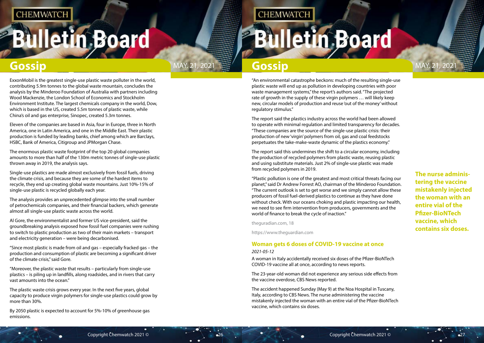# <span id="page-13-0"></span>**Bulletin Board**

### **The nurse administering the vaccine mistakenly injected the woman with an entire vial of the Pfizer-BioNTech vaccine, which contains six doses.**

"An environmental catastrophe beckons: much of the resulting single-use plastic waste will end up as pollution in developing countries with poor waste management systems," the report's authors said. "The projected rate of growth in the supply of these virgin polymers … will likely keep new, circular models of production and reuse 'out of the money' without regulatory stimulus."

The report said the plastics industry across the world had been allowed to operate with minimal regulation and limited transparency for decades. "These companies are the source of the single-use plastic crisis: their production of new 'virgin' polymers from oil, gas and coal feedstocks perpetuates the take-make-waste dynamic of the plastics economy."

The report said this undermines the shift to a circular economy, including the production of recycled polymers from plastic waste, reusing plastic and using substitute materials. Just 2% of single-use plastic was made from recycled polymers in 2019.

"Plastic pollution is one of the greatest and most critical threats facing our planet," said Dr Andrew Forrest AO, chairman of the Minderoo Foundation. "The current outlook is set to get worse and we simply cannot allow these producers of fossil fuel-derived plastics to continue as they have done without check. With our oceans choking and plastic impacting our health, we need to see firm intervention from producers, governments and the world of finance to break the cycle of inaction."

theguradian.com, 18

https://www.theguardian.com

### **Woman gets 6 doses of COVID-19 vaccine at once**

#### *2021-05-12*

A woman in Italy accidentally received six doses of the Pfizer-BioNTech COVID-19 vaccine all at once, according to news reports.

The 23-year-old woman did not experience any serious side effects from the vaccine overdose, CBS News reported.

The accident happened Sunday (May 9) at the Noa Hospital in Tuscany, Italy, according to CBS News. The nurse administering the vaccine mistakenly injected the woman with an entire vial of the Pfizer-BioNTech vaccine, which contains six doses.



ExxonMobil is the greatest single-use plastic waste polluter in the world, contributing 5.9m tonnes to the global waste mountain, concludes the analysis by the Minderoo Foundation of Australia with partners including Wood Mackenzie, the London School of Economics and Stockholm Environment Institute. The largest chemicals company in the world, Dow, which is based in the US, created 5.5m tonnes of plastic waste, while China's oil and gas enterprise, Sinopec, created 5.3m tonnes.

Eleven of the companies are based in Asia, four in Europe, three in North America, one in Latin America, and one in the Middle East. Their plastic production is funded by leading banks, chief among which are Barclays, HSBC, Bank of America, Citigroup and JPMorgan Chase.

The enormous plastic waste footprint of the top 20 global companies amounts to more than half of the 130m metric tonnes of single-use plastic thrown away in 2019, the analysis says.

Single-use plastics are made almost exclusively from fossil fuels, driving the climate crisis, and because they are some of the hardest items to recycle, they end up creating global waste mountains. Just 10%-15% of single-use plastic is recycled globally each year.

The analysis provides an unprecedented glimpse into the small number of petrochemicals companies, and their financial backers, which generate almost all single-use plastic waste across the world.

Al Gore, the environmentalist and former US vice-president, said the groundbreaking analysis exposed how fossil fuel companies were rushing to switch to plastic production as two of their main markets – transport and electricity generation – were being decarbonised.

"Since most plastic is made from oil and gas – especially fracked gas – the production and consumption of plastic are becoming a significant driver of the climate crisis," said Gore.

"Moreover, the plastic waste that results – particularly from single-use plastics – is piling up in landfills, along roadsides, and in rivers that carry vast amounts into the ocean."

The plastic waste crisis grows every year. In the next five years, global capacity to produce virgin polymers for single-use plastics could grow by more than 30%.

By 2050 plastic is expected to account for 5%-10% of greenhouse gas emissions.

## **CHEMWATCH**

# **Illetin Board**

#### MAY. 21, 2021  $\frac{1}{2}$  **Gossin Grammatic Constitution** MAY. 21, 2021 **Gossip Gossip Gossip Gossip Gossip**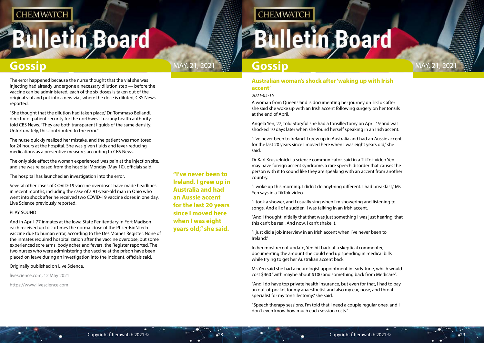# <span id="page-14-0"></span>**Illetin Board**



**"I've never been to Ireland. I grew up in Australia and had an Aussie accent for the last 20 years since I moved here when I was eight years old," she said.**

## **CHEMWATCH**

# **lletin Board**

## **Gossip Gossip Gossip Gossip Gossip**

### **Australian woman's shock after 'waking up with Irish accent'**

#### *2021-05-15*

A woman from Queensland is documenting her journey on TikTok after she said she woke up with an Irish accent following surgery on her tonsils at the end of April.

Angela Yen, 27, told Storyful she had a tonsillectomy on April 19 and was shocked 10 days later when she found herself speaking in an Irish accent.

"I've never been to Ireland. I grew up in Australia and had an Aussie accent for the last 20 years since I moved here when I was eight years old," she said.

Dr Karl Kruszelnicki, a science communicator, said in a TikTok video Yen may have foreign accent syndrome, a rare speech disorder that causes the person with it to sound like they are speaking with an accent from another country.

"I woke up this morning. I didn't do anything different. I had breakfast," Ms Yen says in a TikTok video.

"I took a shower, and I usually sing when I'm showering and listening to songs. And all of a sudden, I was talking in an Irish accent.

"And I thought initially that that was just something I was just hearing, that this can't be real. And now, I can't shake it.

"I just did a job interview in an Irish accent when I've never been to Ireland."

In her most recent update, Yen hit back at a skeptical commenter, documenting the amount she could end up spending in medical bills while trying to get her Australian accent back.

Ms Yen said she had a neurologist appointment in early June, which would cost \$460 "with maybe about \$100 and something back from Medicare".

"And I do have top private health insurance, but even for that, I had to pay an out-of-pocket for my anaesthetist and also my ear, nose, and throat specialist for my tonsillectomy," she said.

"Speech therapy sessions, I'm told that I need a couple regular ones, and I don't even know how much each session costs."

The error happened because the nurse thought that the vial she was injecting had already undergone a necessary dilution step — before the vaccine can be administered, each of the six doses is taken out of the original vial and put into a new vial, where the dose is diluted, CBS News reported.

"She thought that the dilution had taken place," Dr. Tommaso Bellandi, director of patient security for the northwest Tuscany health authority, told CBS News. "They are both transparent liquids of the same density. Unfortunately, this contributed to the error."

The nurse quickly realized her mistake, and the patient was monitored for 24 hours at the hospital. She was given fluids and fever-reducing medications as a preventive measure, according to CBS News.

The only side effect the woman experienced was pain at the injection site, and she was released from the hospital Monday (May 10), officials said.

The hospital has launched an investigation into the error.

Several other cases of COVID-19 vaccine overdoses have made headlines in recent months, including the case of a 91-year-old man in Ohio who went into shock after he received two COVID-19 vaccine doses in one day, Live Science previously reported.

#### PLAY SOUND

And in April, 77 inmates at the Iowa State Penitentiary in Fort Madison each received up to six times the normal dose of the Pfizer-BioNTech vaccine due to human error, according to the Des Moines Register. None of the inmates required hospitalization after the vaccine overdose, but some experienced sore arms, body aches and fevers, the Register reported. The two nurses who were administering the vaccine at the prison have been placed on leave during an investigation into the incident, officials said.

Originally published on Live Science.

livescience.com, 12 May 2021

https://www.livescience.com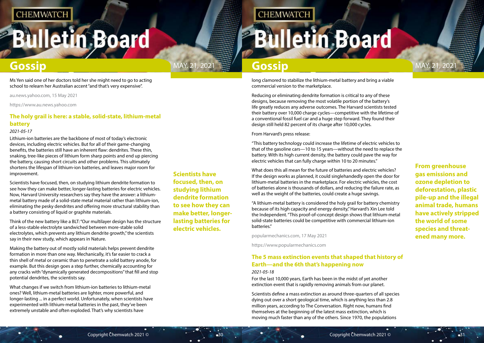# **Bulletin Board**

**From greenhouse gas emissions and ozone depletion to deforestation, plastic pile-up and the illegal animal trade, humans have actively stripped the world of some species and threatened many more.**

<span id="page-15-0"></span>

**Scientists have focused, then, on studying lithium dendrite formation to see how they can make better, longerlasting batteries for electric vehicles.**

## **CHEMWATCH**

# **Bulletin Board**

long clamored to stabilize the lithium-metal battery and bring a viable commercial version to the marketplace.

Reducing or eliminating dendrite formation is critical to any of these designs, because removing the most volatile portion of the battery's life greatly reduces any adverse outcomes. The Harvard scientists tested their battery over 10,000 charge cycles—competitive with the lifetime of a conventional fossil fuel car and a huge step forward. They found their design still held 82 percent of its charge after 10,000 cycles.

From Harvard's press release:

"This battery technology could increase the lifetime of electric vehicles to that of the gasoline cars—10 to 15 years—without the need to replace the battery. With its high current density, the battery could pave the way for electric vehicles that can fully charge within 10 to 20 minutes."

What does this all mean for the future of batteries and electric vehicles? If the design works as planned, it could singlehandedly open the door for lithium-metal batteries in the marketplace. For electric vehicles, the cost of batteries alone is thousands of dollars, and reducing the failure rate, as well as the weight of the batteries, could create a huge savings.

"A lithium-metal battery is considered the holy grail for battery chemistry because of its high capacity and energy density," Harvard's Xin Lee told the Independent. "This proof-of-concept design shows that lithium-metal solid-state batteries could be competitive with commercial lithium-ion batteries."

popularmechanics.com, 17 May 2021

https://www.popularmechanics.com

### **The 5 mass extinction events that shaped that history of Earth—and the 6th that's happening now**

*2021-05-18*

For the last 10,000 years, Earth has been in the midst of yet another extinction event that is rapidly removing animals from our planet.

Scientists define a mass extinction as around three-quarters of all species dying out over a short geological time, which is anything less than 2.8 million years, according to The Conversation. Right now, humans find themselves at the beginning of the latest mass extinction, which is moving much faster than any of the others. Since 1970, the populations

Ms Yen said one of her doctors told her she might need to go to acting school to relearn her Australian accent "and that's very expensive".

au.news.yahoo.com, 15 May 2021

https://www.au.news.yahoo.com

#### **The holy grail is here: a stable, solid-state, lithium-metal battery**

#### *2021-05-17*

Lithium-ion batteries are the backbone of most of today's electronic devices, including electric vehicles. But for all of their game-changing benefits, the batteries still have an inherent flaw: dendrites. These thin, snaking, tree-like pieces of lithium form sharp points and end up piercing the battery, causing short circuits and other problems. This ultimately shortens the lifespan of lithium-ion batteries, and leaves major room for improvement.

Scientists have focused, then, on studying lithium dendrite formation to see how they can make better, longer-lasting batteries for electric vehicles. Now, Harvard University researchers say they have the answer: a lithiummetal battery made of a solid-state metal material rather than lithium-ion, eliminating the pesky dendrites and offering more structural stability than a battery consisting of liquid or graphite materials.

Think of the new battery like a BLT: "Our multilayer design has the structure of a less-stable electrolyte sandwiched between more-stable solid electrolytes, which prevents any lithium dendrite growth," the scientists say in their new study, which appears in Nature.

Making the battery out of mostly solid materials helps prevent dendrite formation in more than one way. Mechanically, it's far easier to crack a thin shell of metal or ceramic than to penetrate a solid battery anode, for example. But this design goes a step further, chemically accounting for any cracks with "dynamically generated decompositions" that fill and stop potential dendrites, the scientists say.

What changes if we switch from lithium-ion batteries to lithium-metal ones? Well, lithium-metal batteries are lighter, more powerful, and longer-lasting ... in a perfect world. Unfortunately, when scientists have experimented with lithium-metal batteries in the past, they've been extremely unstable and often exploded. That's why scientists have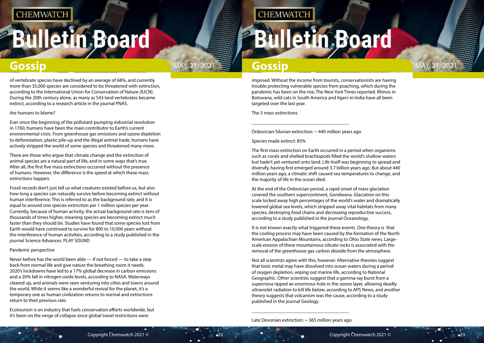# **Illetin Board**



imposed. Without the income from tourists, conservationists are having trouble protecting vulnerable species from poaching, which during the pandemic has been on the rise, The New York Times reported. Rhinos in Botswana, wild cats in South America and tigers in India have all been targeted over the last year.

The 5 mass extinctions

\_\_\_\_\_\_\_\_\_\_\_\_\_\_\_\_\_\_\_\_\_\_\_\_\_\_\_\_\_\_\_\_\_\_\_\_\_\_\_\_

Ordovician-Silurian extinction: ~ 440 million years ago

Species made extinct: 85%

The first mass extinction on Earth occurred in a period when organisms such as corals and shelled brachiopods filled the world's shallow waters but hadn't yet ventured onto land. Life itself was beginning to spread and diversify, having first emerged around 3.7 billion years ago. But about 440 million years ago, a climatic shift caused sea temperatures to change, and the majority of life in the ocean died.

At the end of the Ordovician period, a rapid onset of mass glaciation covered the southern supercontinent, Gondwana. Glaciation on this scale locked away high percentages of the world's water and dramatically lowered global sea levels, which stripped away vital habitats from many species, destroying food chains and decreasing reproductive success, according to a study published in the journal Oceanology.

It is not known exactly what triggered these events. One theory is that the cooling process may have been caused by the formation of the North American Appalachian Mountains, according to Ohio State news. Largescale erosion of these mountainous silicate rocks is associated with the removal of the greenhouse gas carbon dioxide from the atmosphere.

Not all scientists agree with this, however. Alternative theories suggest that toxic metal may have dissolved into ocean waters during a period of oxygen depletion, wiping out marine life, according to National Geographic. Other scientists suggest that a gamma-ray burst from a supernova ripped an enormous hole in the ozone layer, allowing deadly ultraviolet radiation to kill life below, according to APS News, and another theory suggests that volcanism was the cause, according to a study published in the journal Geology.

Late Devonian extinction:  $\sim$  365 million years ago

\_\_\_\_\_\_\_\_\_\_\_\_\_\_\_\_\_\_\_\_\_\_\_\_\_\_\_\_\_\_\_\_\_\_\_\_\_\_\_\_

of vertebrate species have declined by an average of 68%, and currently more than 35,000 species are considered to be threatened with extinction, according to the International Union for Conservation of Nature (IUCN). During the 20th century alone, as many as 543 land vertebrates became extinct, according to a research article in the journal PNAS.

#### Are humans to blame?

Ever since the beginning of the pollutant-pumping industrial revolution in 1760, humans have been the main contributor to Earth's current environmental crisis. From greenhouse gas emissions and ozone depletion to deforestation, plastic pile-up and the illegal animal trade, humans have actively stripped the world of some species and threatened many more.

There are those who argue that climate change and the extinction of animal species are a natural part of life, and in some ways that's true. After all, the first five mass extinctions occurred without the presence of humans. However, the difference is the speed at which these mass extinctions happen.

Fossil records don't just tell us what creatures existed before us, but also how long a species can naturally survive before becoming extinct without human interference. This is referred to as the background rate, and it is equal to around one species extinction per 1 million species per year. Currently, because of human activity, the actual background rate is tens of thousands of times higher, meaning species are becoming extinct much faster than they should be. Studies have found that some species lost from Earth would have continued to survive for 800 to 10,000 years without the interference of human activities, according to a study published in the journal Science Advances. PLAY SOUND

#### Pandemic perspective

Never before has the world been able — if not forced — to take a step back from normal life and give nature the breathing room it needs. 2020's lockdowns have led to a 17% global decrease in carbon emissions and a 20% fall in nitrogen oxide levels, according to NASA. Waterways cleared up, and animals were seen venturing into cities and towns around the world. While it seems like a wonderful revival for the planet, it's a temporary one as human civilization returns to normal and extinctions return to their previous rate.

Ecotourism is an industry that fuels conservation efforts worldwide, but it's been on the verge of collapse since global travel restrictions were

## **CHEMWATCH**

# **Iletin Board**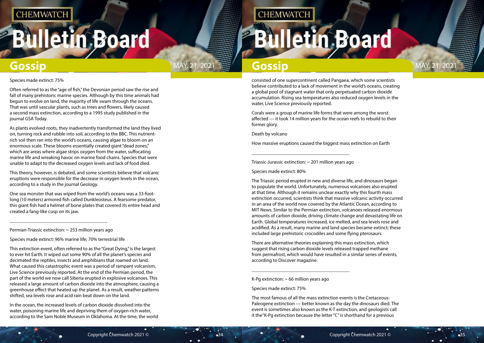# **Illetin Board**



consisted of one supercontinent called Pangaea, which some scientists believe contributed to a lack of movement in the world's oceans, creating a global pool of stagnant water that only perpetuated carbon dioxide accumulation. Rising sea temperatures also reduced oxygen levels in the water, Live Science previously reported.

Corals were a group of marine life forms that were among the worst affected — it took 14 million years for the ocean reefs to rebuild to their former glory.

Death by volcano

How massive eruptions caused the biggest mass extinction on Earth

Triassic-Jurassic extinction:  $\sim$  201 million years ago

\_\_\_\_\_\_\_\_\_\_\_\_\_\_\_\_\_\_\_\_\_\_\_\_\_\_\_\_\_\_\_\_\_\_\_\_\_\_\_\_

Species made extinct: 80%

The Triassic period erupted in new and diverse life, and dinosaurs began to populate the world. Unfortunately, numerous volcanoes also erupted at that time. Although it remains unclear exactly why this fourth mass extinction occurred, scientists think that massive volcanic activity occurred in an area of the world now covered by the Atlantic Ocean, according to MIT News. Similar to the Permian extinction, volcanoes released enormous amounts of carbon dioxide, driving climate change and devastating life on Earth. Global temperatures increased, ice melted, and sea levels rose and acidified. As a result, many marine and land species became extinct; these included large prehistoric crocodiles and some flying pterosaurs.

There are alternative theories explaining this mass extinction, which suggest that rising carbon dioxide levels released trapped methane from permafrost, which would have resulted in a similar series of events, according to Discover magazine.

K-Pg extinction:  $\sim$  66 million years ago

\_\_\_\_\_\_\_\_\_\_\_\_\_\_\_\_\_\_\_\_\_\_\_\_\_\_\_\_\_\_\_\_\_\_\_\_\_\_\_\_

Species made extinct: 75%

The most famous of all the mass extinction events is the Cretaceous-Paleogene extinction — better known as the day the dinosaurs died. The event is sometimes also known as the K-T extinction, and geologists call it the"K-Pg extinction because the letter "C" is shorthand for a previous

#### Species made extinct: 75%

Often referred to as the "age of fish," the Devonian period saw the rise and fall of many prehistoric marine species. Although by this time animals had begun to evolve on land, the majority of life swam through the oceans. That was until vascular plants, such as trees and flowers, likely caused a second mass extinction, according to a 1995 study published in the journal GSA Today.

As plants evolved roots, they inadvertently transformed the land they lived on, turning rock and rubble into soil, according to the BBC. This nutrientrich soil then ran into the world's oceans, causing algae to bloom on an enormous scale. These blooms essentially created giant "dead zones," which are areas where algae strips oxygen from the water, suffocating marine life and wreaking havoc on marine food chains. Species that were unable to adapt to the decreased oxygen levels and lack of food died.

This theory, however, is debated, and some scientists believe that volcanic eruptions were responsible for the decrease in oxygen levels in the ocean, according to a study in the journal Geology.

One sea monster that was wiped from the world's oceans was a 33-footlong (10 meters) armored fish called Dunkleosteus. A fearsome predator, this giant fish had a helmet of bone plates that covered its entire head and created a fang-like cusp on its jaw.

\_\_\_\_\_\_\_\_\_\_\_\_\_\_\_\_\_\_\_\_\_\_\_\_\_\_\_\_\_\_\_\_\_\_\_\_\_\_\_\_

Permian-Triassic extinction: ~ 253 million years ago

Species made extinct: 96% marine life; 70% terrestrial life

This extinction event, often referred to as the "Great Dying," is the largest to ever hit Earth. It wiped out some 90% of all the planet's species and decimated the reptiles, insects and amphibians that roamed on land. What caused this catastrophic event was a period of rampant volcanism, Live Science previously reported. At the end of the Permian period, the part of the world we now call Siberia erupted in explosive volcanoes. This released a large amount of carbon dioxide into the atmosphere, causing a greenhouse effect that heated up the planet. As a result, weather patterns shifted, sea levels rose and acid rain beat down on the land.

In the ocean, the increased levels of carbon dioxide dissolved into the water, poisoning marine life and depriving them of oxygen-rich water, according to the Sam Noble Museum in Oklahoma. At the time, the world

**CHEMWATCH**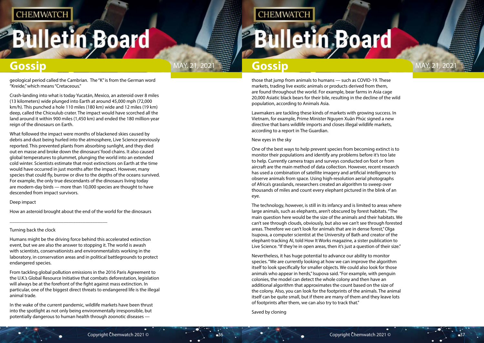# **Illetin Board**



those that jump from animals to humans — such as COVID-19. These markets, trading live exotic animals or products derived from them, are found throughout the world. For example, bear farms in Asia cage 20,000 Asiatic black bears for their bile, resulting in the decline of the wild population, according to Animals Asia.

Lawmakers are tackling these kinds of markets with growing success. In Vietnam, for example, Prime Minister Nguyen Xuân Phúc signed a new directive that bans wildlife imports and closes illegal wildlife markets, according to a report in The Guardian.

#### New eyes in the sky

One of the best ways to help prevent species from becoming extinct is to monitor their populations and identify any problems before it's too late to help. Currently camera traps and surveys conducted on foot or from aircraft are the main method of data collection. However, recent research has used a combination of satellite imagery and artificial intelligence to observe animals from space. Using high-resolution aerial photographs of Africa's grasslands, researchers created an algorithm to sweep over thousands of miles and count every elephant pictured in the blink of an eye.

The technology, however, is still in its infancy and is limited to areas where large animals, such as elephants, aren't obscured by forest habitats. "The main question here would be the size of the animals and their habitats. We can't see through clouds, obviously, but also we can't see through forested areas. Therefore we can't look for animals that are in dense forest," Olga Isupova, a computer scientist at the University of Bath and creator of the elephant-tracking AI, told How It Works magazine, a sister publication to Live Science. "If they're in open areas, then it's just a question of their size."

Nevertheless, it has huge potential to advance our ability to monitor species. "We are currently looking at how we can improve the algorithm itself to look specifically for smaller objects. We could also look for those animals who appear in herds," Isupova said. "For example, with penguin colonies, the model can detect the whole colony and then have an additional algorithm that approximates the count based on the size of the colony. Also, you can look for the footprints of the animals. The animal itself can be quite small, but if there are many of them and they leave lots of footprints after them, we can also try to track that."

Saved by cloning

geological period called the Cambrian. The "K" is from the German word "Kreide," which means "Cretaceous."

Crash-landing into what is today Yucatán, Mexico, an asteroid over 8 miles (13 kilometers) wide plunged into Earth at around 45,000 mph (72,000 km/h). This punched a hole 110 miles (180 km) wide and 12 miles (19 km) deep, called the Chicxulub crater. The impact would have scorched all the land around it within 900 miles (1,450 km) and ended the 180 million-year reign of the dinosaurs on Earth.

What followed the impact were months of blackened skies caused by debris and dust being hurled into the atmosphere, Live Science previously reported. This prevented plants from absorbing sunlight, and they died out en masse and broke down the dinosaurs' food chains. It also caused global temperatures to plummet, plunging the world into an extended cold winter. Scientists estimate that most extinctions on Earth at the time would have occurred in just months after the impact. However, many species that could fly, burrow or dive to the depths of the oceans survived. For example, the only true descendants of the dinosaurs living today are modern-day birds — more than 10,000 species are thought to have descended from impact survivors.

#### Deep impact

How an asteroid brought about the end of the world for the dinosaurs

\_\_\_\_\_\_\_\_\_\_\_\_\_\_\_\_\_\_\_\_\_\_\_\_\_\_\_\_\_\_\_\_\_\_\_\_\_\_\_\_

Turning back the clock

Humans might be the driving force behind this accelerated extinction event, but we are also the answer to stopping it. The world is awash with scientists, conservationists and environmentalists working in the laboratory, in conservation areas and in political battlegrounds to protect endangered species.

From tackling global pollution emissions in the 2016 Paris Agreement to the U.K.'s Global Resource Initiative that combats deforestation, legislation will always be at the forefront of the fight against mass extinction. In particular, one of the biggest direct threats to endangered life is the illegal animal trade.

In the wake of the current pandemic, wildlife markets have been thrust into the spotlight as not only being environmentally irresponsible, but potentially dangerous to human health through zoonotic diseases —

**CHEMWATCH**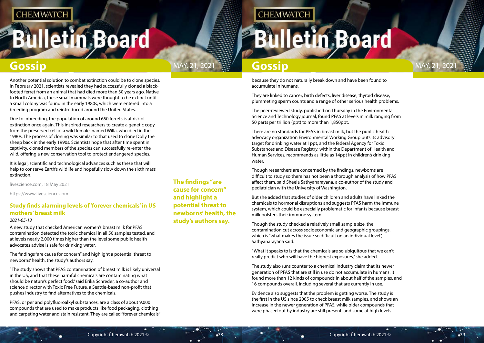# <span id="page-19-0"></span>**Illetin Board**



### **The findings "are cause for concern" and highlight a potential threat to newborns' health, the study's authors say.**

## **CHEMWATCH**

## **lletin Board**

## **Gossip Gossip**

because they do not naturally break down and have been found to accumulate in humans.

They are linked to cancer, birth defects, liver disease, thyroid disease, plummeting sperm counts and a range of other serious health problems.

The peer-reviewed study, published on Thursday in the Environmental Science and Technology journal, found PFAS at levels in milk ranging from 50 parts per trillion (ppt) to more than 1,850ppt.

There are no standards for PFAS in breast milk, but the public health advocacy organization Environmental Working Group puts its advisory target for drinking water at 1ppt, and the federal Agency for Toxic Substances and Disease Registry, within the Department of Health and Human Services, recommends as little as 14ppt in children's drinking water.

Evidence also suggests that the problem is getting worse. The study is the first in the US since 2005 to check breast milk samples, and shows an increase in the newer generation of PFAS, while older compounds that were phased out by industry are still present, and some at high levels.

Though researchers are concerned by the findings, newborns are difficult to study so there has not been a thorough analysis of how PFAS affect them, said Sheela Sathyanarayana, a co-author of the study and pediatrician with the University of Washington.

But she added that studies of older children and adults have linked the chemicals to hormonal disruptions and suggests PFAS harm the immune system, which could be especially problematic for infants because breast milk bolsters their immune system.

Though the study checked a relatively small sample size, the contamination cut across socioeconomic and geographic groupings, which is "what makes the issue so difficult on an individual level", Sathyanarayana said.

"What it speaks to is that the chemicals are so ubiquitous that we can't really predict who will have the highest exposures," she added.

The study also runs counter to a chemical industry claim that its newer generation of PFAS that are still in use do not accumulate in humans. It found more than 12 kinds of compounds in about half of the samples, and 16 compounds overall, including several that are currently in use.

Another potential solution to combat extinction could be to clone species. In February 2021, scientists revealed they had successfully cloned a blackfooted ferret from an animal that had died more than 30 years ago. Native to North America, these small mammals were thought to be extinct until a small colony was found in the early 1980s, which were entered into a breeding program and reintroduced around the United States.

Due to inbreeding, the population of around 650 ferrets is at risk of extinction once again. This inspired researchers to create a genetic copy from the preserved cell of a wild female, named Willa, who died in the 1980s. The process of cloning was similar to that used to clone Dolly the sheep back in the early 1990s. Scientists hope that after time spent in captivity, cloned members of the species can successfully re-enter the wild, offering a new conservation tool to protect endangered species.

It is legal, scientific and technological advances such as these that will help to conserve Earth's wildlife and hopefully slow down the sixth mass extinction.

livescience.com, 18 May 2021

https://www.livescience.com

### **Study finds alarming levels of 'forever chemicals' in US mothers' breast milk**

#### *2021-05-13*

A new study that checked American women's breast milk for PFAS contamination detected the toxic chemical in all 50 samples tested, and at levels nearly 2,000 times higher than the level some public health advocates advise is safe for drinking water.

The findings "are cause for concern" and highlight a potential threat to newborns' health, the study's authors say.

"The study shows that PFAS contamination of breast milk is likely universal in the US, and that these harmful chemicals are contaminating what should be nature's perfect food," said Erika Schreder, a co-author and science director with Toxic Free Future, a Seattle-based non-profit that pushes industry to find alternatives to the chemicals.

PFAS, or per and polyfluoroalkyl substances, are a class of about 9,000 compounds that are used to make products like food packaging, clothing and carpeting water and stain resistant. They are called "forever chemicals"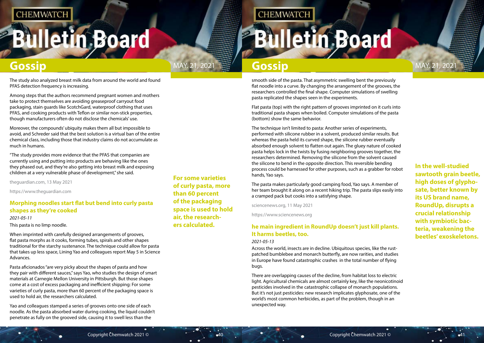# <span id="page-20-0"></span>**Bulletin Board**

**In the well-studied sawtooth grain beetle, high doses of glyphosate, better known by its US brand name, RoundUp, disrupts a crucial relationship with symbiotic bacteria, weakening the beetles' exoskeletons.**

### **For some varieties of curly pasta, more than 60 percent of the packaging space is used to hold air, the researchers calculated.**

**CHEMWATCH** 

## **Gossip Gossip**

MAY. 21, 2021 **May. 21, 2021 Gossip Gossip MAY. 21, 2021** 

smooth side of the pasta. That asymmetric swelling bent the previously flat noodle into a curve. By changing the arrangement of the grooves, the researchers controlled the final shape. Computer simulations of swelling pasta replicated the shapes seen in the experiments.

Flat pasta (top) with the right pattern of grooves imprinted on it curls into traditional pasta shapes when boiled. Computer simulations of the pasta (bottom) show the same behavior.

The technique isn't limited to pasta: Another series of experiments, performed with silicone rubber in a solvent, produced similar results. But whereas the pasta held its curved shape, the silicone rubber eventually absorbed enough solvent to flatten out again. The gluey nature of cooked pasta helps lock in the twists by fusing neighboring grooves together, the researchers determined. Removing the silicone from the solvent caused the silicone to bend in the opposite direction. This reversible bending process could be harnessed for other purposes, such as a grabber for robot hands, Yao says.

The pasta makes particularly good camping food, Yao says. A member of her team brought it along on a recent hiking trip. The pasta slips easily into a cramped pack but cooks into a satisfying shape.

sciencenews.org, 11 May 2021

https://www.sciencenews.org

### **he main ingredient in RoundUp doesn't just kill plants. It harms beetles, too.**

#### *2021-05-13*

Across the world, insects are in decline. Ubiquitous species, like the rustpatched bumblebee and monarch butterfly, are now rarities, and studies in Europe have found catastrophic crashes in the total number of flying bugs.

There are overlapping causes of the decline, from habitat loss to electric light. Agricultural chemicals are almost certainly key, like the neonicotinoid pesticides involved in the catastrophic collapse of monarch populations. But it's not just pesticides: new research implicates glyphosate, one of the world's most common herbicides, as part of the problem, though in an unexpected way.

**Bulletin Board** 

The study also analyzed breast milk data from around the world and found PFAS detection frequency is increasing.

Among steps that the authors recommend pregnant women and mothers take to protect themselves are avoiding greaseproof carryout food packaging, stain guards like ScotchGard, waterproof clothing that uses PFAS, and cooking products with Teflon or similar non-stick properties, though manufacturers often do not disclose the chemicals' use.

Moreover, the compounds' ubiquity makes them all but impossible to avoid, and Schreder said that the best solution is a virtual ban of the entire chemical class, including those that industry claims do not accumulate as much in humans.

"The study provides more evidence that the PFAS that companies are currently using and putting into products are behaving like the ones they phased out, and they're also getting into breast milk and exposing children at a very vulnerable phase of development," she said.

theguardian.com, 13 May 2021

https://www.theguardian.com

#### **Morphing noodles start flat but bend into curly pasta shapes as they're cooked**

*2021-05-11*

This pasta is no limp noodle.

When imprinted with carefully designed arrangements of grooves, flat pasta morphs as it cooks, forming tubes, spirals and other shapes traditional for the starchy sustenance. The technique could allow for pasta that takes up less space, Lining Yao and colleagues report May 5 in Science Advances.

Pasta aficionados "are very picky about the shapes of pasta and how they pair with different sauces," says Yao, who studies the design of smart materials at Carnegie Mellon University in Pittsburgh. But those shapes come at a cost of excess packaging and inefficient shipping: For some varieties of curly pasta, more than 60 percent of the packaging space is used to hold air, the researchers calculated.

Yao and colleagues stamped a series of grooves onto one side of each noodle. As the pasta absorbed water during cooking, the liquid couldn't penetrate as fully on the grooved side, causing it to swell less than the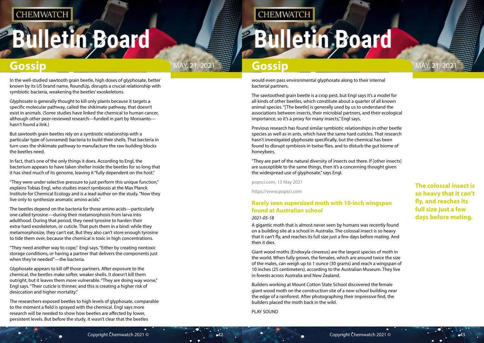# <span id="page-21-0"></span>**Bulletin Board**



**The colossal insect is so heavy that it can't fly, and reaches its full size just a few days before mating.**

## **Gossip Gossip**

would even pass environmental glyphosate along to their internal bacterial partners.

The sawtoothed grain beetle is a crop pest, but Engl says it's a model for all kinds of other beetles, which constitute about a quarter of all known animal species. "[The beetle] is generally used by us to understand the associations between insects, their microbial partners, and their ecological importance, so it's a proxy for many insects," Engl says.

Previous research has found similar symbiotic relationships in other beetle species as well as in ants, which have the same hard cuticles. That research hasn't investigated glyphosate specifically, but the chemical has been found to disrupt symbiosis in tsetse flies, and to disturb the gut biome of honeybees.

"They are part of the natural diversity of insects out there. If [other insects] are susceptible to the same things, then it's a concerning thought given the widespread use of glyphosate," says Engl.

popsci.com, 13 May 2021

https://www.popsci.com

### **Rarely seen supersized moth with 10-inch wingspan found at Australian school**

#### *2021-05-18*

A gigantic moth that is almost never seen by humans was recently found on a building site at a school in Australia. The colossal insect is so heavy that it can't fly, and reaches its full size just a few days before mating. And then it dies.

Giant wood moths (Endoxyla cinereus) are the largest species of moth in the world. When fully grown, the females, which are around twice the size of the males, can weigh up to 1 ounce (30 grams) and reach a wingspan of 10 inches (25 centimeters), according to the Australian Museum. They live in forests across Australia and New Zealand.

Builders working at Mount Cotton State School discovered the female giant wood moth on the construction site of a new school building near the edge of a rainforest. After photographing their impressive find, the builders placed the moth back in the wild.

PLAY SOUND

In the well-studied sawtooth grain beetle, high doses of glyphosate, better known by its US brand name, RoundUp, disrupts a crucial relationship with symbiotic bacteria, weakening the beetles' exoskeletons.

Glyphosate is generally thought to kill only plants because it targets a specific molecular pathway, called the shikimate pathway, that doesn't exist in animals. (Some studies have linked the chemical to human cancer, although other peer-reviewed research—funded in part by Monsanto hasn't found a link.)

But sawtooth grain beetles rely on a symbiotic relationship with a particular type of (unnamed) bacteria to build their shells. That bacteria in turn uses the shikimate pathway to manufacture the raw building blocks the beetles need.

In fact, that's one of the only things it does. According to Engl, the bacterium appears to have taken shelter inside the beetles for so long that it has shed much of its genome, leaving it "fully dependent on the host."

"They were under selective pressure to just perform this unique function," explains Tobias Engl, who studies insect symbiosis at the Max Planck Institute for Chemical Ecology and is a lead author on the study. "Now they live only to synthesize aromatic amino acids."

The beetles depend on the bacteria for those amino acids—particularly one called tyrosine—during their metamorphosis from larva into adulthood. During that period, they need tyrosine to harden their extra-hard exoskeleton, or cuticle. That puts them in a bind: while they metamorphosize, they can't eat. But they also can't store enough tyrosine to tide them over, because the chemical is toxic in high concentrations.

"They need another way to cope," Engl says. "Either by creating nontoxic storage conditions, or having a partner that delivers the components just when they're needed"—the bacteria.

Glyphosate appears to kill off those partners. After exposure to the chemical, the beetles make softer, weaker shells. It doesn't kill them outright, but it leaves them more vulnerable. "They are doing way worse," Engl says. "Their cuticle is thinner, and this is creating a higher risk of desiccation and higher mortality."

The researchers exposed beetles to high levels of glyphosate, comparable to the moment a field is sprayed with the chemical. Engl says more research will be needed to show how beetles are affected by lower, persistent levels. But before the study, it wasn't clear that the beetles

## **CHEMWATCH**

## **Illetin Board**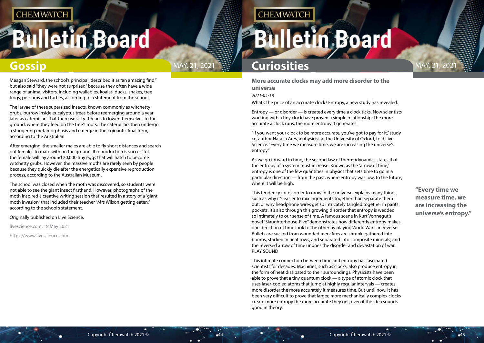# <span id="page-22-0"></span>**Illetin Board**



May. 21, 2021

**"Every time we measure time, we are increasing the universe's entropy."**

## **Gossip**

**More accurate clocks may add more disorder to the universe**

*2021-05-18*

What's the price of an accurate clock? Entropy, a new study has revealed.

Entropy — or disorder — is created every time a clock ticks. Now scientists working with a tiny clock have proven a simple relationship: The more accurate a clock runs, the more entropy it generates.

"If you want your clock to be more accurate, you've got to pay for it," study co-author Natalia Ares, a physicist at the University of Oxford, told Live Science. "Every time we measure time, we are increasing the universe's entropy."

As we go forward in time, the second law of thermodynamics states that the entropy of a system must increase. Known as the "arrow of time," entropy is one of the few quantities in physics that sets time to go in a particular direction — from the past, where entropy was low, to the future, where it will be high.

This tendency for disorder to grow in the universe explains many things, such as why it's easier to mix ingredients together than separate them out, or why headphone wires get so intricately tangled together in pants pockets. It's also through this growing disorder that entropy is wedded so intimately to our sense of time. A famous scene in Kurt Vonnegut's novel "Slaughterhouse-Five" demonstrates how differently entropy makes one direction of time look to the other by playing World War II in reverse: Bullets are sucked from wounded men; fires are shrunk, gathered into bombs, stacked in neat rows, and separated into composite minerals; and the reversed arrow of time undoes the disorder and devastation of war. PLAY SOUND

This intimate connection between time and entropy has fascinated scientists for decades. Machines, such as clocks, also produce entropy in the form of heat dissipated to their surroundings. Physicists have been able to prove that a tiny quantum clock — a type of atomic clock that uses laser-cooled atoms that jump at highly regular intervals — creates more disorder the more accurately it measures time. But until now, it has been very difficult to prove that larger, more mechanically complex clocks create more entropy the more accurate they get, even if the idea sounds good in theory.

## **Curiosities**

**CHEMWATCH** 

Meagan Steward, the school's principal, described it as "an amazing find," but also said "they were not surprised" because they often have a wide range of animal visitors, including wallabies, koalas, ducks, snakes, tree frogs, possums and turtles, according to a statement from the school.

The larvae of these supersized insects, known commonly as witchetty grubs, burrow inside eucalyptus trees before reemerging around a year later as caterpillars that then use silky threads to lower themselves to the ground, where they feed on the tree's roots. The caterpillars then undergo a staggering metamorphosis and emerge in their gigantic final form, according to the Australian

After emerging, the smaller males are able to fly short distances and search out females to mate with on the ground. If reproduction is successful, the female will lay around 20,000 tiny eggs that will hatch to become witchetty grubs. However, the massive moths are rarely seen by people because they quickly die after the energetically expensive reproduction process, according to the Australian Museum.

The school was closed when the moth was discovered, so students were not able to see the giant insect firsthand. However, photographs of the moth inspired a creative writing session that resulted in a story of a "giant moth invasion" that included their teacher "Mrs Wilson getting eaten," according to the school's statement.

#### Originally published on Live Science.

livescience.com, 18 May 2021

https://www.livescience.com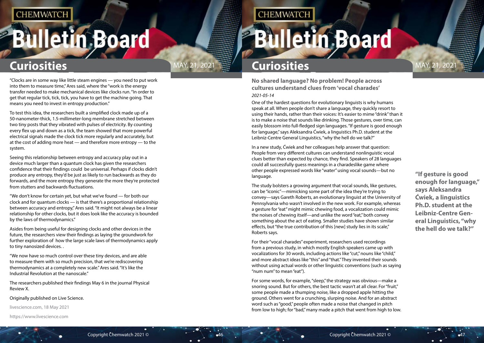# <span id="page-23-0"></span>**Bulletin Board**



**"If gesture is good enough for language," says Aleksandra Ćwiek, a linguistics Ph.D. student at the Leibniz-Centre General Linguistics, "why the hell do we talk?"**

## **Curiosities Curiosities**

**No shared language? No problem! People across cultures understand clues from 'vocal charades'** *2021-05-14*

One of the hardest questions for evolutionary linguists is why humans speak at all. When people don't share a language, they quickly resort to using their hands, rather than their voices: It's easier to mime "drink" than it is to make a noise that sounds like drinking. Those gestures, over time, can easily blossom into full-fledged sign languages. "If gesture is good enough for language," says Aleksandra Ćwiek, a linguistics Ph.D. student at the Leibniz-Centre General Linguistics, "why the hell do we talk?"

In a new study, Ćwiek and her colleagues help answer that question: People from very different cultures can understand nonlinguistic vocal clues better than expected by chance, they find. Speakers of 28 languages could all successfully guess meanings in a charadeslike game where other people expressed words like "water" using vocal sounds—but no language.

The study bolsters a growing argument that vocal sounds, like gestures, can be "iconic"—mimicking some part of the idea they're trying to convey—says Gareth Roberts, an evolutionary linguist at the University of Pennsylvania who wasn't involved in the new work. For example, whereas a gesture for "eat" might mimic chewing food, a vocalization could mimic the noises of chewing itself—and unlike the word "eat," both convey something about the act of eating. Smaller studies have shown similar effects, but "the true contribution of this [new] study lies in its scale," Roberts says.

For their "vocal charades" experiment, researchers used recordings from a previous study, in which mostly English speakers came up with vocalizations for 30 words, including actions like "cut," nouns like "child," and more abstract ideas like "this" and "that." They invented their sounds without using actual words or other linguistic conventions (such as saying "num num" to mean "eat").

For some words, for example, "sleep," the strategy was obvious—make a snoring sound. But for others, the best tactic wasn't at all clear. For "fruit," some people made a thumping noise, like a dropped apple hitting the ground. Others went for a crunching, slurping noise. And for an abstract word such as "good," people often made a noise that changed in pitch from low to high; for "bad," many made a pitch that went from high to low.

"Clocks are in some way like little steam engines — you need to put work into them to measure time," Ares said, where the "work is the energy transfer needed to make mechanical devices like clocks run. "In order to get that regular tick, tick, tick, you have to get the machine going. That means you need to invest in entropy production."

To test this idea, the researchers built a simplified clock made up of a 50-nanometer-thick, 1.5-millimeter-long membrane stretched between two tiny posts that they vibrated with pulses of electricity. By counting every flex up and down as a tick, the team showed that more powerful electrical signals made the clock tick more regularly and accurately, but at the cost of adding more heat — and therefore more entropy — to the system.

Seeing this relationship between entropy and accuracy play out in a device much larger than a quantum clock has given the researchers confidence that their findings could be universal. Perhaps if clocks didn't produce any entropy, they'd be just as likely to run backwards as they do forwards, and the more entropy they generate the more they're protected from stutters and backwards fluctuations.

"We don't know for certain yet, but what we've found — for both our clock and for quantum clocks — is that there's a proportional relationship between accuracy and entropy," Ares said. "It might not always be a linear relationship for other clocks, but it does look like the accuracy is bounded by the laws of thermodynamics."

Asides from being useful for designing clocks and other devices in the future, the researchers view their findings as laying the groundwork for further exploration of how the large scale laws of thermodynamics apply to tiny nanosized devices. .

"We now have so much control over these tiny devices, and are able to measure them with so much precision, that we're rediscovering thermodynamics at a completely new scale." Ares said. "It's like the Industrial Revolution at the nanoscale."

The researchers published their findings May 6 in the journal Physical Review X.

Originally published on Live Science.

livescience.com, 18 May 2021

https://www.livescience.com

**CHEMWATCH**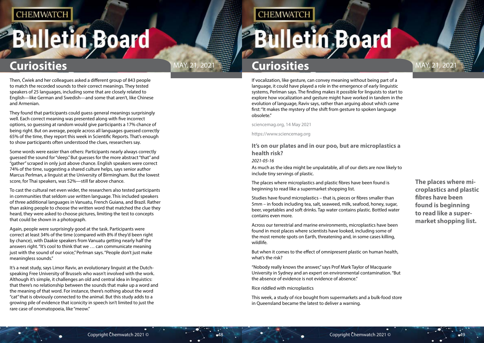# <span id="page-24-0"></span>**Bulletin Board**



**The places where microplastics and plastic fibres have been found is beginning to read like a supermarket shopping list.**

## **Curiosities Curiosities**

If vocalization, like gesture, can convey meaning without being part of a language, it could have played a role in the emergence of early linguistic systems, Perlman says. The finding makes it possible for linguists to start to explore how vocalization and gesture might have worked in tandem in the evolution of language, Raviv says, rather than arguing about which came first: "It makes the mystery of the shift from gesture to spoken language obsolete."

sciencemag.org, 14 May 2021

https://www.sciencemag.org

### **It's on our plates and in our poo, but are microplastics a health risk?**

#### *2021-05-16*

As much as the idea might be unpalatable, all of our diets are now likely to include tiny servings of plastic.

The places where microplastics and plastic fibres have been found is beginning to read like a supermarket shopping list.

Studies have found microplastics – that is, pieces or fibres smaller than 5mm – in foods including tea, salt, seaweed, milk, seafood, honey, sugar, beer, vegetables and soft drinks. Tap water contains plastic. Bottled water contains even more.

Across our terrestrial and marine environments, microplastics have been found in most places where scientists have looked, including some of the most remote spots on Earth, threatening and, in some cases killing, wildlife.

But when it comes to the effect of omnipresent plastic on human health, what's the risk?

"Nobody really knows the answer," says Prof Mark Taylor of Macquarie University in Sydney and an expert on environmental contamination. "But the absence of evidence is not evidence of absence."

Rice riddled with microplastics

This week, a study of rice bought from supermarkets and a bulk-food store in Queensland became the latest to deliver a warning.

Then, Ćwiek and her colleagues asked a different group of 843 people to match the recorded sounds to their correct meanings. They tested speakers of 25 languages, including some that are closely related to English—like German and Swedish—and some that aren't, like Chinese and Armenian.

They found that participants could guess general meanings surprisingly well. Each correct meaning was presented along with five incorrect options, so guessing at random would give participants a 17% chance of being right. But on average, people across all languages guessed correctly 65% of the time, they report this week in Scientific Reports. That's enough to show participants often understood the clues, researchers say.

Some words were easier than others: Participants nearly always correctly guessed the sound for "sleep." But guesses for the more abstract "that" and "gather" scraped in only just above chance. English speakers were correct 74% of the time, suggesting a shared culture helps, says senior author Marcus Perlman, a linguist at the University of Birmingham. But the lowest score, for Thai speakers, was 52%—still far above chance.

To cast the cultural net even wider, the researchers also tested participants in communities that seldom use written language. This included speakers of three additional languages in Vanuatu, French Guiana, and Brazil. Rather than asking people to choose the written word that matched the clue they heard, they were asked to choose pictures, limiting the test to concepts that could be shown in a photograph.

Again, people were surprisingly good at the task. Participants were correct at least 34% of the time (compared with 8% if they'd been right by chance), with Daakie speakers from Vanuatu getting nearly half the answers right. "It's cool to think that we … can communicate meaning just with the sound of our voice," Perlman says. "People don't just make meaningless sounds."

It's a neat study, says Limor Raviv, an evolutionary linguist at the Dutchspeaking Free University of Brussels who wasn't involved with the work. Although it's simple, it challenges an old and central idea in linguistics: that there's no relationship between the sounds that make up a word and the meaning of that word. For instance, there's nothing about the word "cat" that is obviously connected to the animal. But this study adds to a growing pile of evidence that iconicity in speech isn't limited to just the rare case of onomatopoeia, like "meow."

## **CHEMWATCH**

# **Illetin Board**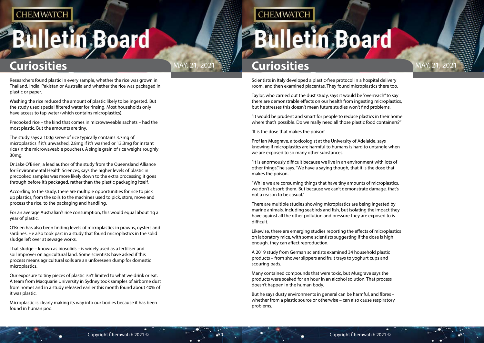# **Illetin Board**



Scientists in Italy developed a plastic-free protocol in a hospital delivery room, and then examined placentas. They found microplastics there too.

Taylor, who carried out the dust study, says it would be "overreach" to say there are demonstrable effects on our health from ingesting microplastics, but he stresses this doesn't mean future studies won't find problems.

"It would be prudent and smart for people to reduce plastics in their home where that's possible. Do we really need all those plastic food containers?"

'It is the dose that makes the poison'

Prof Ian Musgrave, a toxicologist at the University of Adelaide, says knowing if microplastics are harmful to humans is hard to untangle when we are exposed to so many other substances.

"It is enormously difficult because we live in an environment with lots of other things," he says. "We have a saying though, that it is the dose that makes the poison.

"While we are consuming things that have tiny amounts of microplastics, we don't absorb them. But because we can't demonstrate damage, that's not a reason to be casual."

There are multiple studies showing microplastics are being ingested by marine animals, including seabirds and fish, but isolating the impact they have against all the other pollution and pressure they are exposed to is difficult.

Likewise, there are emerging studies reporting the effects of microplastics on laboratory mice, with some scientists suggesting if the dose is high enough, they can affect reproduction.

A 2019 study from German scientists examined 34 household plastic products – from shower slippers and fruit trays to yoghurt cups and scouring pads.

Many contained compounds that were toxic, but Musgrave says the products were soaked for an hour in an alcohol solution. That process doesn't happen in the human body.

But he says dusty environments in general can be harmful, and fibres – whether from a plastic source or otherwise – can also cause respiratory problems.

Researchers found plastic in every sample, whether the rice was grown in Thailand, India, Pakistan or Australia and whether the rice was packaged in plastic or paper.

Washing the rice reduced the amount of plastic likely to be ingested. But the study used special filtered water for rinsing. Most households only have access to tap water (which contains microplastics).

Precooked rice – the kind that comes in microwaveable sachets – had the most plastic. But the amounts are tiny.

The study says a 100g serve of rice typically contains 3.7mg of microplastics if it's unwashed, 2.8mg if it's washed or 13.3mg for instant rice (in the microwaveable pouches). A single grain of rice weighs roughly 30mg.

Dr Jake O'Brien, a lead author of the study from the Queensland Alliance for Environmental Health Sciences, says the higher levels of plastic in precooked samples was more likely down to the extra processing it goes through before it's packaged, rather than the plastic packaging itself.

According to the study, there are multiple opportunities for rice to pick up plastics, from the soils to the machines used to pick, store, move and process the rice, to the packaging and handling.

For an average Australian's rice consumption, this would equal about 1g a year of plastic.

O'Brien has also been finding levels of microplastics in prawns, oysters and sardines. He also took part in a study that found microplastics in the solid sludge left over at sewage works.

That sludge – known as biosolids – is widely used as a fertiliser and soil improver on agricultural land. Some scientists have asked if this process means agricultural soils are an unforeseen dump for domestic microplastics.

Our exposure to tiny pieces of plastic isn't limited to what we drink or eat. A team from Macquarie University in Sydney took samples of airborne dust from homes and in a study released earlier this month found about 40% of it was plastic.

Microplastic is clearly making its way into our bodies because it has been found in human poo.

## **CHEMWATCH**

# **Iletin Board**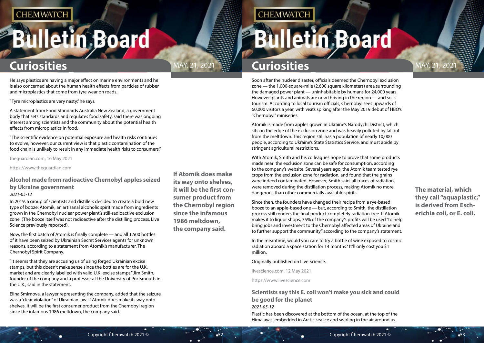# <span id="page-26-0"></span>**Bulletin Board**

**The material, which they call "aquaplastic," is derived from Escherichia coli, or E. coli.**

**If Atomik does make its way onto shelves, it will be the first consumer product from the Chernobyl region since the infamous 1986 meltdown, the company said.**

## MAY. 21, 2021  $\frac{1}{2}$  / **Curiosities MAY. 21, 2021**

**CHEMWATCH** 

## **Curiosities Curiosities**

Soon after the nuclear disaster, officials deemed the Chernobyl exclusion zone — the 1,000-square-mile (2,600 square kilometers) area surrounding the damaged power plant — uninhabitable by humans for 24,000 years. However, plants and animals are now thriving in the region — and so is tourism. According to local tourism officials, Chernobyl sees upwards of 60,000 visitors a year, with visits spiking after the May 2019 debut of HBO's "Chernobyl" miniseries.

Atomik is made from apples grown in Ukraine's Narodychi District, which sits on the edge of the exclusion zone and was heavily polluted by fallout from the meltdown. This region still has a population of nearly 10,000 people, according to Ukraine's State Statistics Service, and must abide by stringent agricultural restrictions.

With Atomik, Smith and his colleagues hope to prove that some products made near the exclusion zone can be safe for consumption, according to the company's website. Several years ago, the Atomik team tested rye crops from the exclusion zone for radiation, and found that the grains were indeed contaminated. However, Smith said, all traces of radiation were removed during the distillation process, making Atomik no more dangerous than other commercially available spirits.

Since then, the founders have changed their recipe from a rye-based booze to an apple-based one — but, according to Smith, the distillation process still renders the final product completely radiation-free. If Atomik makes it to liquor shops, 75% of the company's profits will be used "to help bring jobs and investment to the Chernobyl affected areas of Ukraine and to further support the community," according to the company's statement.

In the meantime, would you care to try a bottle of wine exposed to cosmic radiation aboard a space station for 14 months? It'll only cost you \$1 million.

#### Originally published on Live Science.

livescience.com, 12 May 2021

https://www.livescience.com

**Scientists say this E. coli won't make you sick and could be good for the planet** *2021-05-12*

Plastic has been discovered at the bottom of the ocean, at the top of the Himalayas, embedded in Arctic sea ice and swirling in the air around us.

# **Bulletin Board**

He says plastics are having a major effect on marine environments and he is also concerned about the human health effects from particles of rubber and microplastics that come from tyre wear on roads.

"Tyre microplastics are very nasty," he says.

A statement from Food Standards Australia New Zealand, a government body that sets standards and regulates food safety, said there was ongoing interest among scientists and the community about the potential health effects from microplastics in food.

"The scientific evidence on potential exposure and health risks continues to evolve, however, our current view is that plastic contamination of the food chain is unlikely to result in any immediate health risks to consumers."

theguardian.com, 16 May 2021

https://www.theguardian.com

### **Alcohol made from radioactive Chernobyl apples seized by Ukraine government**

#### *2021-05-12*

In 2019, a group of scientists and distillers decided to create a bold new type of booze: Atomik, an artisanal alcoholic spirit made from ingredients grown in the Chernobyl nuclear power plant's still-radioactive exclusion zone. (The booze itself was not radioactive after the distilling process, Live Science previously reported).

Now, the first batch of Atomik is finally complete — and all 1,500 bottles of it have been seized by Ukrainian Secret Services agents for unknown reasons, according to a statement from Atomik's manufacturer, The Chernobyl Spirit Company.

"It seems that they are accusing us of using forged Ukrainian excise stamps, but this doesn't make sense since the bottles are for the U.K. market and are clearly labelled with valid U.K. excise stamps," Jim Smith, founder of the company and a professor at the University of Portsmouth in the U.K., said in the statement.

Elina Smirnova, a lawyer representing the company, added that the seizure was a "clear violation" of Ukrainian law. If Atomik does make its way onto shelves, it will be the first consumer product from the Chernobyl region since the infamous 1986 meltdown, the company said.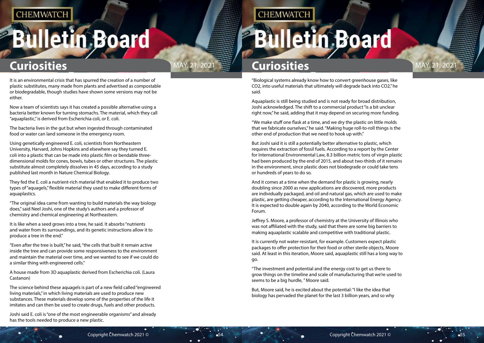# **Bulletin Board**



"Biological systems already know how to convert greenhouse gases, like CO2, into useful materials that ultimately will degrade back into CO2," he said.

Aquaplastic is still being studied and is not ready for broad distribution, Joshi acknowledged. The shift to a commercial product "is a bit unclear right now," he said, adding that it may depend on securing more funding.

"We make stuff one flask at a time, and we dry the plastic on little molds that we fabricate ourselves," he said. "Making huge roll-to-roll things is the other end of production that we need to hook up with."

But Joshi said it is still a potentially better alternative to plastic, which requires the extraction of fossil fuels. According to a report by the Center for International Environmental Law, 8.3 billion metric tons of virgin plastic had been produced by the end of 2015, and about two-thirds of it remains in the environment, since plastic does not biodegrade or could take tens or hundreds of years to do so.

And it comes at a time when the demand for plastic is growing, nearly doubling since 2000 as new applications are discovered, more products are individually packaged, and oil and natural gas, which are used to make plastic, are getting cheaper, according to the International Energy Agency. It is expected to double again by 2040, according to the World Economic Forum.

Jeffrey S. Moore, a professor of chemistry at the University of Illinois who was not affiliated with the study, said that there are some big barriers to making aquaplastic scalable and competitive with traditional plastic.

It is currently not water-resistant, for example. Customers expect plastic packages to offer protection for their food or other sterile objects, Moore said. At least in this iteration, Moore said, aquaplastic still has a long way to go.

"The investment and potential and the energy cost to get us there to grow things on the timeline and scale of manufacturing that we're used to seems to be a big hurdle, " Moore said.

But, Moore said, he is excited about the potential: "I like the idea that biology has pervaded the planet for the last 3 billion years, and so why

It is an environmental crisis that has spurred the creation of a number of plastic substitutes, many made from plants and advertised as compostable or biodegradable, though studies have shown some versions may not be either.

Now a team of scientists says it has created a possible alternative using a bacteria better known for turning stomachs. The material, which they call "aquaplastic," is derived from Escherichia coli, or E. coli.

The bacteria lives in the gut but when ingested through contaminated food or water can land someone in the emergency room.

Using genetically engineered E. coli, scientists from Northeastern University, Harvard, Johns Hopkins and elsewhere say they turned E. coli into a plastic that can be made into plastic film or bendable threedimensional molds for cones, bowls, tubes or other structures. The plastic substitute almost completely dissolves in 45 days, according to a study published last month in Nature Chemical Biology.

They fed the E. coli a nutrient-rich material that enabled it to produce two types of "aquagels," flexible material they used to make different forms of aquaplastics.

"The original idea came from wanting to build materials the way biology does," said Neel Joshi, one of the study's authors and a professor of chemistry and chemical engineering at Northeastern.

It is like when a seed grows into a tree, he said. It absorbs "nutrients and water from its surroundings, and its genetic instructions allow it to produce a tree in the end."

"Even after the tree is built," he said, "the cells that built it remain active inside the tree and can provide some responsiveness to the environment and maintain the material over time, and we wanted to see if we could do a similar thing with engineered cells."

A house made from 3D aquaplastic derived from Escherichia coli. (Laura Castanon)

The science behind these aquagels is part of a new field called "engineered living materials," in which living materials are used to produce new substances. These materials develop some of the properties of the life it imitates and can then be used to create drugs, fuels and other products.

Joshi said E. coli is "one of the most engineerable organisms" and already has the tools needed to produce a new plastic.

**CHEMWATCH**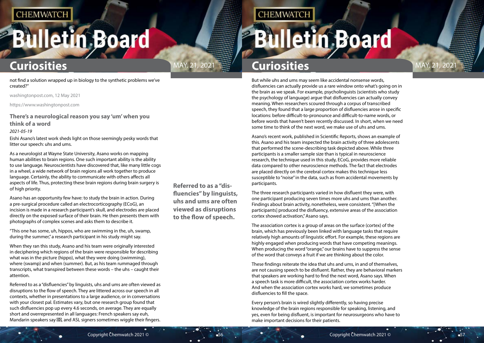# <span id="page-28-0"></span>**Bulletin Board**

**Referred to as a "disfluencies" by linguists, uhs and ums are often viewed as disruptions to the flow of speech.**

## MAY. 21, 2021  $\frac{1}{2}$  **Curiosities MAY. 21, 2021**

**CHEMWATCH** 

## **Curiosities Curiosities**

But while uhs and ums may seem like accidental nonsense words, disfluencies can actually provide us a rare window onto what's going on in the brain as we speak. For example, psycholinguists (scientists who study the psychology of language) argue that disfluencies can actually convey meaning. When researchers scoured through a corpus of transcribed speech, they found that a large proportion of disfluencies arose in specific locations: before difficult-to-pronounce and difficult-to-name words, or before words that haven't been recently discussed. In short, when we need some time to think of the next word, we make use of uhs and ums.

Asano's recent work, published in Scientific Reports, shows an example of this. Asano and his team inspected the brain activity of three adolescents that performed the scene-describing task depicted above. While three participants is a smaller sample size than is typical in neuroscience research, the technique used in this study, ECoG, provides more reliable data compared to other neuroscience methods. The fact that electrodes are placed directly on the cerebral cortex makes this technique less susceptible to "noise" in the data, such as from accidental movements by participants.

The three research participants varied in how disfluent they were, with one participant producing seven times more uhs and ums than another. Findings about brain activity, nonetheless, were consistent. "[When the participants] produced the disfluency, extensive areas of the association cortex showed activation," Asano says.

The association cortex is a group of areas on the surface (cortex) of the brain, which has previously been linked with language tasks that require relatively high amounts of linguistic effort. For example, these regions are highly engaged when producing words that have competing meanings. When producing the word "orange," our brains have to suppress the sense of the word that conveys a fruit if we are thinking about the color.

Referred to as a "disfluencies" by linguists, uhs and ums are often viewed as disruptions to the flow of speech. They are littered across our speech in all contexts, whether in presentations to a large audience, or in conversations with your closest pal. Estimates vary, but one research group found that such disfluencies pop up every 4.6 seconds, on average. They are equally short and overrepresented in all languages: French speakers say euh, Mandarin speakers say , and ASL signers sometimes wiggle their fingers.

These findings reiterate the idea that uhs and ums, in and of themselves, are not causing speech to be disfluent. Rather, they are behavioral markers that speakers are working hard to find the next word, Asano says. When a speech task is more difficult, the association cortex works harder. And when the association cortex works hard, we sometimes produce disfluencies to fill the space.

Every person's brain is wired slightly differently, so having precise knowledge of the brain regions responsible for speaking, listening, and yes, even for being disfluent, is important for neurosurgeons who have to make important decisions for their patients.

# **Bulletin Board**

not find a solution wrapped up in biology to the synthetic problems we've created?"

washingtonpost.com, 12 May 2021

https://www.washingtonpost.com

#### **There's a neurological reason you say 'um' when you think of a word**

#### *2021-05-19*

Eishi Asano's latest work sheds light on those seemingly pesky words that litter our speech: uhs and ums.

As a neurologist at Wayne State University, Asano works on mapping human abilities to brain regions. One such important ability is the ability to use language. Neuroscientists have discovered that, like many little cogs in a wheel, a wide network of brain regions all work together to produce language. Certainly, the ability to communicate with others affects all aspects of life. Thus, protecting these brain regions during brain surgery is of high priority.

Asano has an opportunity few have: to study the brain in action. During a pre-surgical procedure called an electrocorticography (ECoG), an incision is made in a research participant's skull, and electrodes are placed directly on the exposed surface of their brain. He then presents them with photographs of complex scenes and asks them to describe it.

"This one has some, uh, hippos, who are swimming in the, uh, swamp, during the summer," a research participant in his study might say.

When they ran this study, Asano and his team were originally interested in deciphering which regions of the brain were responsible for describing what was in the picture (hippo), what they were doing (swimming), where (swamp) and when (summer). But, as his team rummaged through transcripts, what transpired between these words – the uhs – caught their attention.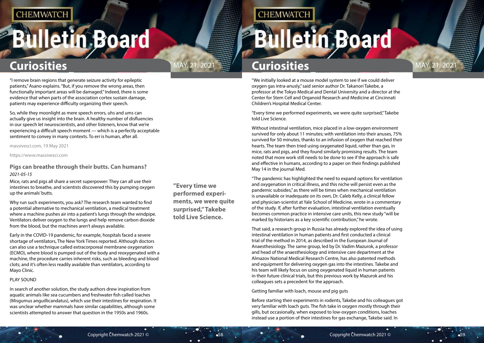# <span id="page-29-0"></span>**Bulletin Board**



**"Every time we performed experiments, we were quite surprised," Takebe told Live Science.**

**CHEMWATCH** 

## **Curiosities Curiosities**

"We initially looked at a mouse model system to see if we could deliver oxygen gas intra-anusly," said senior author Dr. Takanori Takebe, a professor at the Tokyo Medical and Dental University and a director at the Center for Stem Cell and Organoid Research and Medicine at Cincinnati Children's Hospital Medical Center.

"Every time we performed experiments, we were quite surprised," Takebe told Live Science.

Without intestinal ventilation, mice placed in a low-oxygen environment survived for only about 11 minutes; with ventilation into their anuses, 75% survived for 50 minutes, thanks to an infusion of oxygen that reached their hearts. The team then tried using oxygenated liquid, rather than gas, in mice, rats and pigs, and they found similarly promising results. The team noted that more work still needs to be done to see if the approach is safe and effective in humans, according to a paper on their findings published May 14 in the journal Med.

"The pandemic has highlighted the need to expand options for ventilation and oxygenation in critical illness, and this niche will persist even as the pandemic subsides," as there will be times when mechanical ventilation is unavailable or inadequate on its own, Dr. Caleb Kelly, a clinical fellow and physician-scientist at Yale School of Medicine, wrote in a commentary of the study. If, after further evaluation, intestinal ventilation eventually becomes common practice in intensive care units, this new study "will be marked by historians as a key scientific contribution," he wrote.

That said, a research group in Russia has already explored the idea of using intestinal ventilation in human patients and first conducted a clinical trial of the method in 2014, as described in the European Journal of Anaesthesiology. The same group, led by Dr. Vadim Mazurok, a professor and head of the anaesthesiology and intensive care department at the Almazov National Medical Research Centre, has also patented methods and equipment for delivering oxygen gas into the intestines. Takebe and his team will likely focus on using oxygenated liquid in human patients in their future clinical trials, but this previous work by Mazurok and his colleagues sets a precedent for the approach.

Getting familiar with loach, mouse and pig guts

Before starting their experiments in rodents, Takebe and his colleagues got very familiar with loach guts. The fish take in oxygen mostly through their gills, but occasionally, when exposed to low-oxygen conditions, loaches instead use a portion of their intestines for gas exchange, Takebe said. In

"I remove brain regions that generate seizure activity for epileptic patients," Asano explains. "But, if you remove the wrong areas, then functionally important areas will be damaged." Indeed, there is some evidence that when parts of the association cortex sustain damage, patients may experience difficulty organizing their speech.

So, while they moonlight as mere speech errors, uhs and ums can actually give us insight into the brain. A healthy number of disfluencies in our speech let neuroscientists, and other listeners, know that we're experiencing a difficult speech moment — which is a perfectly acceptable sentiment to convey in many contexts. To err is human, after all.

massivesci.com, 19 May 2021

https://www.massivesci.com

### **Pigs can breathe through their butts. Can humans?** *2021-05-15*

Mice, rats and pigs all share a secret superpower: They can all use their intestines to breathe, and scientists discovered this by pumping oxygen up the animals' butts.

Why run such experiments, you ask? The research team wanted to find a potential alternative to mechanical ventilation, a medical treatment where a machine pushes air into a patient's lungs through the windpipe. Ventilators deliver oxygen to the lungs and help remove carbon dioxide from the blood, but the machines aren't always available.

Early in the COVID-19 pandemic, for example, hospitals faced a severe shortage of ventilators, The New York Times reported. Although doctors can also use a technique called extracorporeal membrane oxygenation (ECMO), where blood is pumped out of the body and reoxygenated with a machine, the procedure carries inherent risks, such as bleeding and blood clots; and it's often less readily available than ventilators, according to Mayo Clinic.

#### PLAY SOUND

In search of another solution, the study authors drew inspiration from aquatic animals like sea cucumbers and freshwater fish called loaches (Misgumus anguillicandatus), which use their intestines for respiration. It was unclear whether mammals have similar capabilities, although some scientists attempted to answer that question in the 1950s and 1960s.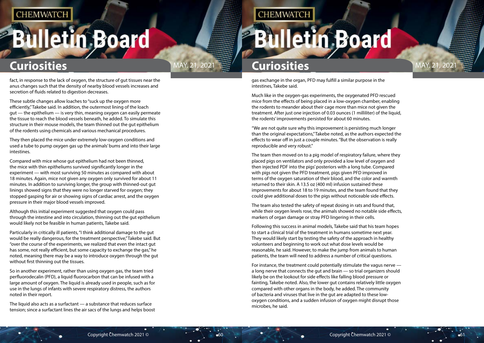# **Bulletin Board**



gas exchange in the organ, PFD may fulfill a similar purpose in the intestines, Takebe said.

Much like in the oxygen-gas experiments, the oxygenated PFD rescued mice from the effects of being placed in a low-oxygen chamber, enabling the rodents to meander about their cage more than mice not given the treatment. After just one injection of 0.03 ounces (1 milliliter) of the liquid, the rodents' improvements persisted for about 60 minutes.

"We are not quite sure why this improvement is persisting much longer than the original expectations," Takebe noted, as the authors expected the effects to wear off in just a couple minutes. "But the observation is really reproducible and very robust."

The team then moved on to a pig model of respiratory failure, where they placed pigs on ventilators and only provided a low level of oxygen and then injected PDF into the pigs' posteriors with a long tube. Compared with pigs not given the PFD treatment, pigs given PFD improved in terms of the oxygen saturation of their blood, and the color and warmth returned to their skin. A 13.5 oz (400 ml) infusion sustained these improvements for about 18 to 19 minutes, and the team found that they could give additional doses to the pigs without noticeable side effects.

The team also tested the safety of repeat dosing in rats and found that, while their oxygen levels rose, the animals showed no notable side effects, markers of organ damage or stray PFD lingering in their cells.

Following this success in animal models, Takebe said that his team hopes to start a clinical trial of the treatment in humans sometime next year. They would likely start by testing the safety of the approach in healthy volunteers and beginning to work out what dose levels would be reasonable, he said. However, to make the jump from animals to human patients, the team will need to address a number of critical questions.

For instance, the treatment could potentially stimulate the vagus nerve a long nerve that connects the gut and brain — so trial organizers should likely be on the lookout for side effects like falling blood pressure or fainting, Takebe noted. Also, the lower gut contains relatively little oxygen compared with other organs in the body, he added. The community of bacteria and viruses that live in the gut are adapted to these lowoxygen conditions, and a sudden infusion of oxygen might disrupt those microbes, he said.

fact, in response to the lack of oxygen, the structure of gut tissues near the anus changes such that the density of nearby blood vessels increases and secretion of fluids related to digestion decreases.

These subtle changes allow loaches to "suck up the oxygen more efficiently," Takebe said. In addition, the outermost lining of the loach gut — the epithelium — is very thin, meaning oxygen can easily permeate the tissue to reach the blood vessels beneath, he added. To simulate this structure in their mouse models, the team thinned out the gut epithelium of the rodents using chemicals and various mechanical procedures.

They then placed the mice under extremely low-oxygen conditions and used a tube to pump oxygen gas up the animals' bums and into their large intestines.

Compared with mice whose gut epithelium had not been thinned, the mice with thin epitheliums survived significantly longer in the experiment — with most surviving 50 minutes as compared with about 18 minutes. Again, mice not given any oxygen only survived for about 11 minutes. In addition to surviving longer, the group with thinned-out gut linings showed signs that they were no longer starved for oxygen; they stopped gasping for air or showing signs of cardiac arrest, and the oxygen pressure in their major blood vessels improved.

Although this initial experiment suggested that oxygen could pass through the intestine and into circulation, thinning out the gut epithelium would likely not be feasible in human patients, Takebe said.

Particularly in critically ill patients, "I think additional damage to the gut would be really dangerous, for the treatment perspective," Takebe said. But "over the course of the experiments, we realized that even the intact gut has some, not really efficient, but some capacity to exchange the gas," he noted, meaning there may be a way to introduce oxygen through the gut without first thinning out the tissues.

So in another experiment, rather than using oxygen gas, the team tried perfluorodecalin (PFD), a liquid fluorocarbon that can be infused with a large amount of oxygen. The liquid is already used in people, such as for use in the lungs of infants with severe respiratory distress, the authors noted in their report.

The liquid also acts as a surfactant — a substance that reduces surface tension; since a surfactant lines the air sacs of the lungs and helps boost

## **CHEMWATCH**

## **Illetin Board**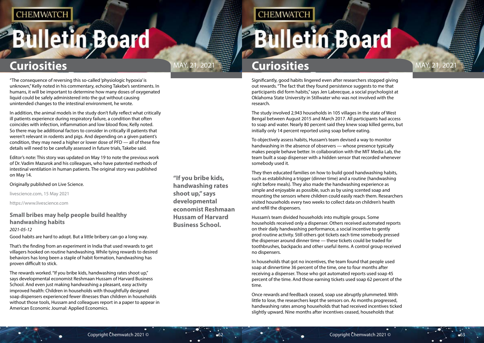# <span id="page-31-0"></span>**Bulletin Board**



### **"If you bribe kids, handwashing rates shoot up," says developmental economist Reshmaan Hussam of Harvard Business School.**

**CHEMWATCH** 

## **Curiosities Curiosities**

Significantly, good habits lingered even after researchers stopped giving out rewards. "The fact that they found persistence suggests to me that participants did form habits," says Jen Labrecque, a social psychologist at Oklahoma State University in Stillwater who was not involved with the research.

The study involved 2,943 households in 105 villages in the state of West Bengal between August 2015 and March 2017. All participants had access to soap and water. Nearly 80 percent said they knew soap killed germs, but initially only 14 percent reported using soap before eating.

To objectively assess habits, Hussam's team devised a way to monitor handwashing in the absence of observers — whose presence typically makes people behave better. In collaboration with the MIT Media Lab, the team built a soap dispenser with a hidden sensor that recorded whenever somebody used it.

They then educated families on how to build good handwashing habits, such as establishing a trigger (dinner time) and a routine (handwashing right before meals). They also made the handwashing experience as simple and enjoyable as possible, such as by using scented soap and mounting the sensors where children could easily reach them. Researchers visited households every two weeks to collect data on children's health and refill the dispensers.

Hussam's team divided households into multiple groups. Some households received only a dispenser. Others received automated reports on their daily handwashing performance, a social incentive to gently prod routine activity. Still others got tickets each time somebody pressed the dispenser around dinner time — these tickets could be traded for toothbrushes, backpacks and other useful items. A control group received no dispensers.

In households that got no incentives, the team found that people used soap at dinnertime 36 percent of the time, one to four months after receiving a dispenser. Those who got automated reports used soap 45 percent of the time. And those earning tickets used soap 62 percent of the time.

Once rewards and feedback ceased, soap use abruptly plummeted. With little to lose, the researchers kept the sensors on. As months progressed, handwashing rates among households that had received incentives ticked slightly upward. Nine months after incentives ceased, households that

"The consequence of reversing this so-called 'physiologic hypoxia' is unknown," Kelly noted in his commentary, echoing Takebe's sentiments. In humans, it will be important to determine how many doses of oxygenated liquid could be safely administered into the gut without causing unintended changes to the intestinal environment, he wrote.

In addition, the animal models in the study don't fully reflect what critically ill patients experience during respiratory failure, a condition that often coincides with infection, inflammation and low blood flow, Kelly noted. So there may be additional factors to consider in critically ill patients that weren't relevant in rodents and pigs. And depending on a given patient's condition, they may need a higher or lower dose of PFD — all of these fine details will need to be carefully assessed in future trials, Takebe said.

Editor's note: This story was updated on May 19 to note the previous work of Dr. Vadim Mazurok and his colleagues, who have patented methods of intestinal ventilation in human patients. The original story was published on May 14.

Originally published on Live Science.

livescience.com, 15 May 2021

https://www.livescience.com

### **Small bribes may help people build healthy handwashing habits**

#### *2021-05-12*

Good habits are hard to adopt. But a little bribery can go a long way.

That's the finding from an experiment in India that used rewards to get villagers hooked on routine handwashing. While tying rewards to desired behaviors has long been a staple of habit formation, handwashing has proven difficult to stick.

The rewards worked. "If you bribe kids, handwashing rates shoot up," says developmental economist Reshmaan Hussam of Harvard Business School. And even just making handwashing a pleasant, easy activity improved health: Children in households with thoughtfully designed soap dispensers experienced fewer illnesses than children in households without those tools, Hussam and colleagues report in a paper to appear in American Economic Journal: Applied Economics.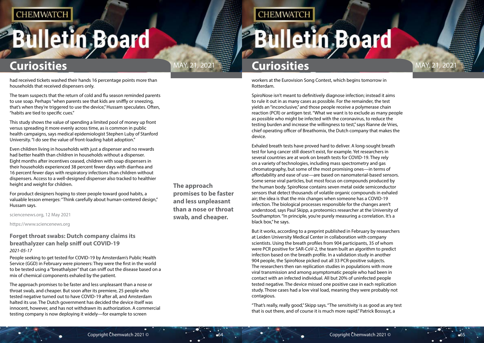# <span id="page-32-0"></span>**Bulletin Board**



**The approach promises to be faster and less unpleasant than a nose or throat swab, and cheaper.**

**CHEMWATCH** 

## **Curiosities Curiosities**

workers at the Eurovision Song Contest, which begins tomorrow in Rotterdam.

SpiroNose isn't meant to definitively diagnose infection; instead it aims to rule it out in as many cases as possible. For the remainder, the test yields an "inconclusive," and those people receive a polymerase chain reaction (PCR) or antigen test. "What we want is to exclude as many people as possible who might be infected with the coronavirus, to reduce the testing burden and increase the willingness to test," says Rianne de Vries, chief operating officer of Breathomix, the Dutch company that makes the device.

Exhaled breath tests have proved hard to deliver. A long-sought breath test for lung cancer still doesn't exist, for example. Yet researchers in several countries are at work on breath tests for COVID-19. They rely on a variety of technologies, including mass spectrometry and gas chromatography, but some of the most promising ones—in terms of affordability and ease of use—are based on nanomaterial-based sensors. Some sense viral particles, but most focus on compounds produced by the human body. SpiroNose contains seven metal oxide semiconductor sensors that detect thousands of volatile organic compounds in exhaled air; the idea is that the mix changes when someone has a COVID-19 infection. The biological processes responsible for the changes aren't understood, says Paul Skipp, a proteomics researcher at the University of Southampton. "In principle, you're purely measuring a correlation. It's a black box," he says.

But it works, according to a preprint published in February by researchers at Leiden University Medical Center in collaboration with company scientists. Using the breath profiles from 904 participants, 35 of whom were PCR positive for SAR-CoV-2, the team built an algorithm to predict infection based on the breath profile. In a validation study in another 904 people, the SpiroNose picked out all 33 PCR-positive subjects. The researchers then ran replication studies in populations with more viral transmission and among asymptomatic people who had been in contact with an infected individual. All but 20% of uninfected people tested negative. The device missed one positive case in each replication study. Those cases had a low viral load, meaning they were probably not contagious.

"That's really, really good," Skipp says. "The sensitivity is as good as any test that is out there, and of course it is much more rapid." Patrick Bossuyt, a

had received tickets washed their hands 16 percentage points more than households that received dispensers only.

The team suspects that the return of cold and flu season reminded parents to use soap. Perhaps "when parents see that kids are sniffly or sneezing, that's when they're triggered to use the device," Hussam speculates. Often, "habits are tied to specific cues."

This study shows the value of spending a limited pool of money up front versus spreading it more evenly across time, as is common in public health campaigns, says medical epidemiologist Stephen Luby of Stanford University. "I do see the value of front-loading habit adoption."

Even children living in households with just a dispenser and no rewards had better health than children in households without a dispenser. Eight months after incentives ceased, children with soap dispensers in their households experienced 38 percent fewer days with diarrhea and 16 percent fewer days with respiratory infections than children without dispensers. Access to a well-designed dispenser also tracked to healthier height and weight for children.

For product designers hoping to steer people toward good habits, a valuable lesson emerges: "Think carefully about human-centered design," Hussam says.

sciencenews.org, 12 May 2021

https://www.sciencenews.org

### **Forget throat swabs: Dutch company claims its breathalyzer can help sniff out COVID-19** *2021-05-17*

People seeking to get tested for COVID-19 by Amsterdam's Public Health Service (GGD) in February were pioneers: They were the first in the world to be tested using a "breathalyzer" that can sniff out the disease based on a mix of chemical components exhaled by the patient.

The approach promises to be faster and less unpleasant than a nose or throat swab, and cheaper. But soon after its premiere, 25 people who tested negative turned out to have COVID-19 after all, and Amsterdam halted its use. The Dutch government has decided the device itself was innocent, however, and has not withdrawn its authorization. A commercial testing company is now deploying it widely—for example to screen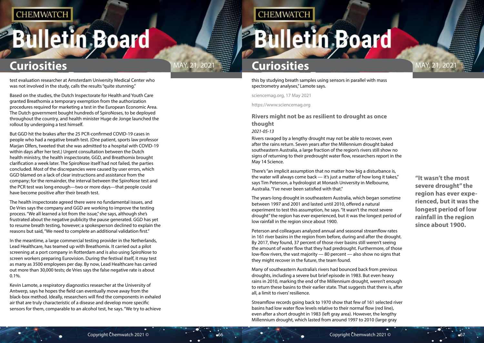# <span id="page-33-0"></span>**Bulletin Board**



**"It wasn't the most severe drought" the region has ever experienced, but it was the longest period of low rainfall in the region since about 1900.**

## **Curiosities Curiosities**

this by studying breath samples using sensors in parallel with mass spectrometry analyses," Lamote says.

sciencemag.org, 17 May 2021

https://www.sciencemag.org

### **Rivers might not be as resilient to drought as once thought**

#### *2021-05-13*

Rivers ravaged by a lengthy drought may not be able to recover, even after the rains return. Seven years after the Millennium drought baked southeastern Australia, a large fraction of the region's rivers still show no signs of returning to their predrought water flow, researchers report in the May 14 Science.

There's "an implicit assumption that no matter how big a disturbance is, the water will always come back — it's just a matter of how long it takes," says Tim Peterson, a hydrologist at Monash University in Melbourne, Australia. "I've never been satisfied with that."

The years-long drought in southeastern Australia, which began sometime between 1997 and 2001 and lasted until 2010, offered a natural experiment to test this assumption, he says. "It wasn't the most severe drought" the region has ever experienced, but it was the longest period of low rainfall in the region since about 1900.

Peterson and colleagues analyzed annual and seasonal streamflow rates in 161 river basins in the region from before, during and after the drought. By 2017, they found, 37 percent of those river basins still weren't seeing the amount of water flow that they had predrought. Furthermore, of those low-flow rivers, the vast majority — 80 percent — also show no signs that they might recover in the future, the team found.

Many of southeastern Australia's rivers had bounced back from previous droughts, including a severe but brief episode in 1983. But even heavy rains in 2010, marking the end of the Millennium drought, weren't enough to return these basins to their earlier state. That suggests that there is, after all, a limit to rivers' resilience.

Streamflow records going back to 1970 show that few of 161 selected river basins had low water flow levels relative to their normal flow (red line), even after a short drought in 1983 (left gray area). However, the lengthy Millennium drought, which lasted from around 1997 to 2010 (large gray

test evaluation researcher at Amsterdam University Medical Center who was not involved in the study, calls the results "quite stunning."

Based on the studies, the Dutch Inspectorate for Health and Youth Care granted Breathomix a temporary exemption from the authorization procedures required for marketing a test in the European Economic Area. The Dutch government bought hundreds of SpiroNoses, to be deployed throughout the country, and health minister Huge de Jonge launched the rollout by undergoing a test himself.

But GGD hit the brakes after the 25 PCR-confirmed COVID-19 cases in people who had a negative breath test. (One patient, sports law professor Marjan Olfers, tweeted that she was admitted to a hospital with COVID-19 within days after her test.) Urgent consultation between the Dutch health ministry, the health inspectorate, GGD, and Breathomix brought clarification a week later. The SpiroNose itself had not failed, the parties concluded. Most of the discrepancies were caused by user errors, which GGD blamed on a lack of clear instructions and assistance from the company; for the remainder, the interval between the SpiroNose test and the PCR test was long enough—two or more days—that people could have become positive after their breath test.

The health inspectorate agreed there were no fundamental issues, and De Vries says the company and GGD are working to improve the testing process. "We all learned a lot from the issue," she says, although she's frustrated about the negative publicity the pause generated. GGD has yet to resume breath testing, however; a spokesperson declined to explain the reasons but said, "We need to complete an additional validation first."

In the meantime, a large commercial testing provider in the Netherlands, Lead Healthcare, has teamed up with Breathomix. It carried out a pilot screening at a port company in Rotterdam and is also using SpiroNose to screen workers preparing Eurovision. During the festival itself, it may test as many as 3500 employees per day. By now, Lead Healthcare has carried out more than 30,000 tests; de Vries says the false negative rate is about 0.1%.

Kevin Lamote, a respiratory diagnostics researcher at the University of Antwerp, says he hopes the field can eventually move away from the black-box method. Ideally, researchers will find the components in exhaled air that are truly characteristic of a disease and develop more specific sensors for them, comparable to an alcohol test, he says. "We try to achieve

## **CHEMWATCH**

## **Bulletin Board**